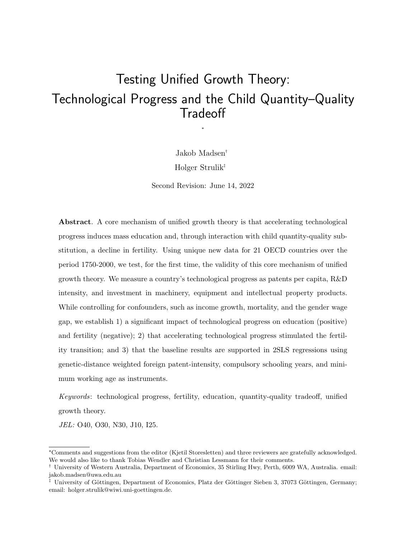# Testing Unified Growth Theory: Technological Progress and the Child Quantity–Quality **Tradeoff**

Jakob Madsen

\*

Holger Strulik

Second Revision: June 14, 2022

Abstract. A core mechanism of unified growth theory is that accelerating technological progress induces mass education and, through interaction with child quantity-quality substitution, a decline in fertility. Using unique new data for 21 OECD countries over the period 1750-2000, we test, for the first time, the validity of this core mechanism of unified growth theory. We measure a country's technological progress as patents per capita, R&D intensity, and investment in machinery, equipment and intellectual property products. While controlling for confounders, such as income growth, mortality, and the gender wage gap, we establish 1) a significant impact of technological progress on education (positive) and fertility (negative); 2) that accelerating technological progress stimulated the fertility transition; and 3) that the baseline results are supported in 2SLS regressions using genetic-distance weighted foreign patent-intensity, compulsory schooling years, and minimum working age as instruments.

Keywords: technological progress, fertility, education, quantity-quality tradeoff, unified growth theory.

JEL: O40, O30, N30, J10, I25.

<sup>\*</sup>Comments and suggestions from the editor (Kjetil Storesletten) and three reviewers are gratefully acknowledged. We would also like to thank Tobias Wendler and Christian Lessmann for their comments.

University of Western Australia, Department of Economics, 35 Stirling Hwy, Perth, 6009 WA, Australia. email: jakob.madsen@uwa.edu.au

<sup>&</sup>lt;sup> $\ddagger$ </sup> University of Göttingen, Department of Economics, Platz der Göttinger Sieben 3, 37073 Göttingen, Germany; email: holger.strulik@wiwi.uni-goettingen.de.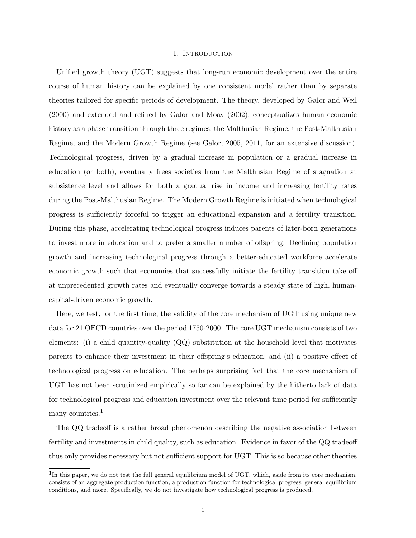#### 1. INTRODUCTION

Unified growth theory (UGT) suggests that long-run economic development over the entire course of human history can be explained by one consistent model rather than by separate theories tailored for specific periods of development. The theory, developed by Galor and Weil (2000) and extended and refined by Galor and Moav (2002), conceptualizes human economic history as a phase transition through three regimes, the Malthusian Regime, the Post-Malthusian Regime, and the Modern Growth Regime (see Galor, 2005, 2011, for an extensive discussion). Technological progress, driven by a gradual increase in population or a gradual increase in education (or both), eventually frees societies from the Malthusian Regime of stagnation at subsistence level and allows for both a gradual rise in income and increasing fertility rates during the Post-Malthusian Regime. The Modern Growth Regime is initiated when technological progress is sufficiently forceful to trigger an educational expansion and a fertility transition. During this phase, accelerating technological progress induces parents of later-born generations to invest more in education and to prefer a smaller number of offspring. Declining population growth and increasing technological progress through a better-educated workforce accelerate economic growth such that economies that successfully initiate the fertility transition take off at unprecedented growth rates and eventually converge towards a steady state of high, humancapital-driven economic growth.

Here, we test, for the first time, the validity of the core mechanism of UGT using unique new data for 21 OECD countries over the period 1750-2000. The core UGT mechanism consists of two elements: (i) a child quantity-quality (QQ) substitution at the household level that motivates parents to enhance their investment in their offspring's education; and (ii) a positive effect of technological progress on education. The perhaps surprising fact that the core mechanism of UGT has not been scrutinized empirically so far can be explained by the hitherto lack of data for technological progress and education investment over the relevant time period for sufficiently many countries.<sup>1</sup>

The QQ tradeoff is a rather broad phenomenon describing the negative association between fertility and investments in child quality, such as education. Evidence in favor of the QQ tradeoff thus only provides necessary but not sufficient support for UGT. This is so because other theories

 $1_{\text{In this paper, we do not test the full general equilibrium model of UGT, which, aside from its core mechanism, }$ consists of an aggregate production function, a production function for technological progress, general equilibrium conditions, and more. Specifically, we do not investigate how technological progress is produced.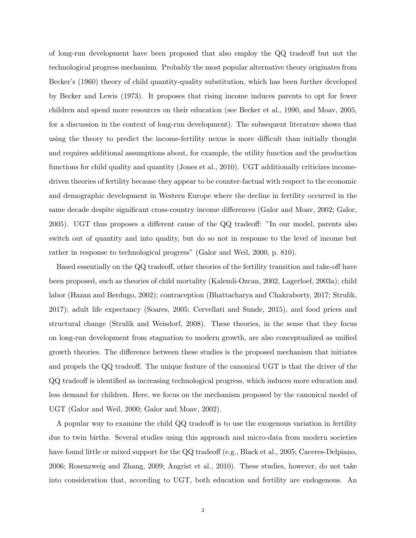of long-run development have been proposed that also employ the QQ tradeoff but not the technological progress mechanism. Probably the most popular alternative theory originates from Becker's (1960) theory of child quantity-quality substitution, which has been further developed by Becker and Lewis (1973). It proposes that rising income induces parents to opt for fewer children and spend more resources on their education (see Becker et al., 1990, and Moav, 2005, for a discussion in the context of long-run development). The subsequent literature shows that using the theory to predict the income-fertility nexus is more difficult than initially thought and requires additional assumptions about, for example, the utility function and the production functions for child quality and quantity (Jones et al., 2010). UGT additionally criticizes incomedriven theories of fertility because they appear to be counter-factual with respect to the economic and demographic development in Western Europe where the decline in fertility occurred in the same decade despite significant cross-country income differences (Galor and Moav, 2002; Galor, 2005). UGT thus proposes a different cause of the QQ tradeoff: "In our model, parents also switch out of quantity and into quality, but do so not in response to the level of income but rather in response to technological progress" (Galor and Weil, 2000, p. 810).

Based essentially on the QQ tradeoff, other theories of the fertility transition and take-off have been proposed, such as theories of child mortality (Kalemli-Ozcan, 2002, Lagerloef, 2003a); child labor (Hazan and Berdugo, 2002); contraception (Bhattacharya and Chakraborty, 2017; Strulik, 2017); adult life expectancy (Soares, 2005; Cervellati and Sunde, 2015), and food prices and structural change (Strulik and Weisdorf, 2008). These theories, in the sense that they focus on long-run development from stagnation to modern growth, are also conceptualized as unified growth theories. The difference between these studies is the proposed mechanism that initiates and propels the QQ tradeoff. The unique feature of the canonical UGT is that the driver of the QQ tradeoff is identified as increasing technological progress, which induces more education and less demand for children. Here, we focus on the mechanism proposed by the canonical model of UGT (Galor and Weil, 2000; Galor and Moav, 2002).

A popular way to examine the child QQ tradeoff is to use the exogenous variation in fertility due to twin births. Several studies using this approach and micro-data from modern societies have found little or mixed support for the QQ tradeoff (e.g., Black et al., 2005; Caceres-Delpiano, 2006; Rosenzweig and Zhang, 2009; Angrist et al., 2010). These studies, however, do not take into consideration that, according to UGT, both education and fertility are endogenous. An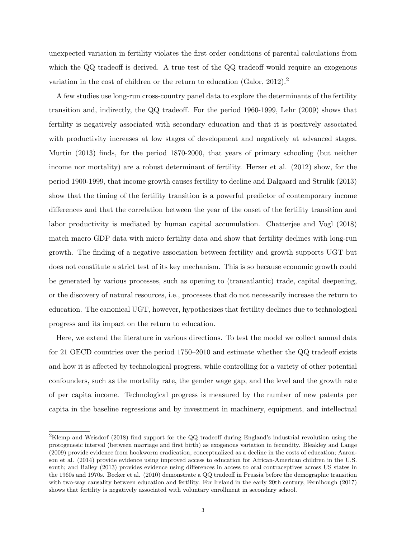unexpected variation in fertility violates the first order conditions of parental calculations from which the QQ tradeoff is derived. A true test of the QQ tradeoff would require an exogenous variation in the cost of children or the return to education (Galor, 2012).<sup>2</sup>

A few studies use long-run cross-country panel data to explore the determinants of the fertility transition and, indirectly, the QQ tradeoff. For the period 1960-1999, Lehr (2009) shows that fertility is negatively associated with secondary education and that it is positively associated with productivity increases at low stages of development and negatively at advanced stages. Murtin (2013) finds, for the period 1870-2000, that years of primary schooling (but neither income nor mortality) are a robust determinant of fertility. Herzer et al. (2012) show, for the period 1900-1999, that income growth causes fertility to decline and Dalgaard and Strulik (2013) show that the timing of the fertility transition is a powerful predictor of contemporary income differences and that the correlation between the year of the onset of the fertility transition and labor productivity is mediated by human capital accumulation. Chatterjee and Vogl (2018) match macro GDP data with micro fertility data and show that fertility declines with long-run growth. The finding of a negative association between fertility and growth supports UGT but does not constitute a strict test of its key mechanism. This is so because economic growth could be generated by various processes, such as opening to (transatlantic) trade, capital deepening, or the discovery of natural resources, i.e., processes that do not necessarily increase the return to education. The canonical UGT, however, hypothesizes that fertility declines due to technological progress and its impact on the return to education.

Here, we extend the literature in various directions. To test the model we collect annual data for 21 OECD countries over the period 1750–2010 and estimate whether the QQ tradeoff exists and how it is affected by technological progress, while controlling for a variety of other potential confounders, such as the mortality rate, the gender wage gap, and the level and the growth rate of per capita income. Technological progress is measured by the number of new patents per capita in the baseline regressions and by investment in machinery, equipment, and intellectual

<sup>2</sup>Klemp and Weisdorf (2018) find support for the QQ tradeoff during England's industrial revolution using the protogenesic interval (between marriage and first birth) as exogenous variation in fecundity. Bleakley and Lange (2009) provide evidence from hookworm eradication, conceptualized as a decline in the costs of education; Aaronson et al. (2014) provide evidence using improved access to education for African-American children in the U.S. south; and Bailey (2013) provides evidence using differences in access to oral contraceptives across US states in the 1960s and 1970s. Becker et al. (2010) demonstrate a QQ tradeoff in Prussia before the demographic transition with two-way causality between education and fertility. For Ireland in the early 20th century, Fernihough (2017) shows that fertility is negatively associated with voluntary enrollment in secondary school.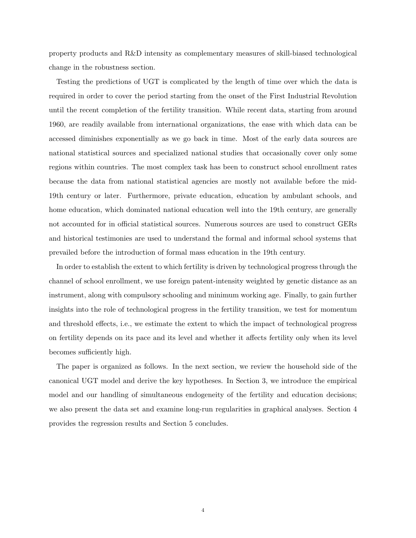property products and R&D intensity as complementary measures of skill-biased technological change in the robustness section.

Testing the predictions of UGT is complicated by the length of time over which the data is required in order to cover the period starting from the onset of the First Industrial Revolution until the recent completion of the fertility transition. While recent data, starting from around 1960, are readily available from international organizations, the ease with which data can be accessed diminishes exponentially as we go back in time. Most of the early data sources are national statistical sources and specialized national studies that occasionally cover only some regions within countries. The most complex task has been to construct school enrollment rates because the data from national statistical agencies are mostly not available before the mid-19th century or later. Furthermore, private education, education by ambulant schools, and home education, which dominated national education well into the 19th century, are generally not accounted for in official statistical sources. Numerous sources are used to construct GERs and historical testimonies are used to understand the formal and informal school systems that prevailed before the introduction of formal mass education in the 19th century.

In order to establish the extent to which fertility is driven by technological progress through the channel of school enrollment, we use foreign patent-intensity weighted by genetic distance as an instrument, along with compulsory schooling and minimum working age. Finally, to gain further insights into the role of technological progress in the fertility transition, we test for momentum and threshold effects, i.e., we estimate the extent to which the impact of technological progress on fertility depends on its pace and its level and whether it affects fertility only when its level becomes sufficiently high.

The paper is organized as follows. In the next section, we review the household side of the canonical UGT model and derive the key hypotheses. In Section 3, we introduce the empirical model and our handling of simultaneous endogeneity of the fertility and education decisions; we also present the data set and examine long-run regularities in graphical analyses. Section 4 provides the regression results and Section 5 concludes.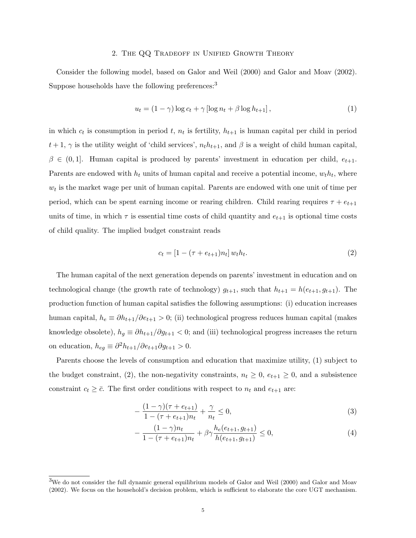## 2. The QQ Tradeoff in Unified Growth Theory

Consider the following model, based on Galor and Weil (2000) and Galor and Moav (2002). Suppose households have the following preferences:<sup>3</sup>

$$
u_t = (1 - \gamma) \log c_t + \gamma [\log n_t + \beta \log h_{t+1}], \qquad (1)
$$

in which  $c_t$  is consumption in period t,  $n_t$  is fertility,  $h_{t+1}$  is human capital per child in period  $t+1$ ,  $\gamma$  is the utility weight of 'child services',  $n_t h_{t+1}$ , and  $\beta$  is a weight of child human capital,  $\beta \in (0,1]$ . Human capital is produced by parents' investment in education per child,  $e_{t+1}$ . Parents are endowed with  $h_t$  units of human capital and receive a potential income,  $w_t h_t$ , where  $w_t$  is the market wage per unit of human capital. Parents are endowed with one unit of time per period, which can be spent earning income or rearing children. Child rearing requires  $\tau + e_{t+1}$ units of time, in which  $\tau$  is essential time costs of child quantity and  $e_{t+1}$  is optional time costs of child quality. The implied budget constraint reads

$$
c_t = [1 - (\tau + e_{t+1})n_t] w_t h_t.
$$
\n(2)

The human capital of the next generation depends on parents' investment in education and on technological change (the growth rate of technology)  $g_{t+1}$ , such that  $h_{t+1} = h(e_{t+1}, g_{t+1})$ . The production function of human capital satisfies the following assumptions: (i) education increases human capital,  $h_e \equiv \partial h_{t+1}/\partial e_{t+1} > 0$ ; (ii) technological progress reduces human capital (makes knowledge obsolete),  $h_g \equiv \partial h_{t+1}/\partial g_{t+1} < 0$ ; and (iii) technological progress increases the return on education,  $h_{eg} \equiv \partial^2 h_{t+1}/\partial e_{t+1}\partial g_{t+1} > 0$ .

Parents choose the levels of consumption and education that maximize utility, (1) subject to the budget constraint, (2), the non-negativity constraints,  $n_t \geq 0$ ,  $e_{t+1} \geq 0$ , and a subsistence constraint  $c_t \geq \overline{c}$ . The first order conditions with respect to  $n_t$  and  $e_{t+1}$  are:

$$
-\frac{(1-\gamma)(\tau + e_{t+1})}{1 - (\tau + e_{t+1})n_t} + \frac{\gamma}{n_t} \le 0,
$$
\n(3)

$$
-\frac{(1-\gamma)n_t}{1-(\tau+e_{t+1})n_t} + \beta \gamma \frac{h_e(e_{t+1}, g_{t+1})}{h(e_{t+1}, g_{t+1})} \le 0,
$$
\n(4)

<sup>3</sup>We do not consider the full dynamic general equilibrium models of Galor and Weil (2000) and Galor and Moav (2002). We focus on the household's decision problem, which is sufficient to elaborate the core UGT mechanism.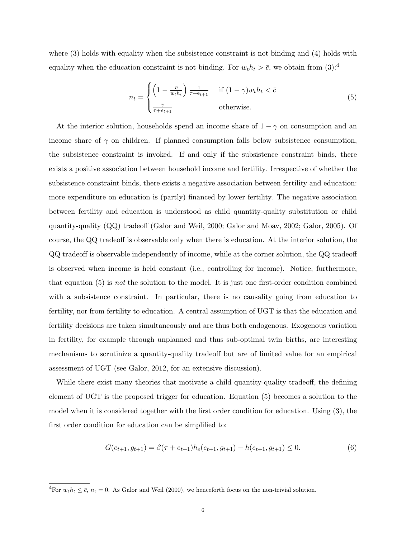where (3) holds with equality when the subsistence constraint is not binding and (4) holds with equality when the education constraint is not binding. For  $w_t h_t > \bar{c}$ , we obtain from  $(3)$ :<sup>4</sup>

$$
n_{t} = \begin{cases} \left(1 - \frac{\bar{c}}{w_{t}h_{t}}\right) \frac{1}{\tau + e_{t+1}} & \text{if } (1 - \gamma)w_{t}h_{t} < \bar{c} \\ \frac{\gamma}{\tau + e_{t+1}} & \text{otherwise.} \end{cases}
$$
(5)

At the interior solution, households spend an income share of  $1 - \gamma$  on consumption and an income share of  $\gamma$  on children. If planned consumption falls below subsistence consumption, the subsistence constraint is invoked. If and only if the subsistence constraint binds, there exists a positive association between household income and fertility. Irrespective of whether the subsistence constraint binds, there exists a negative association between fertility and education: more expenditure on education is (partly) financed by lower fertility. The negative association between fertility and education is understood as child quantity-quality substitution or child quantity-quality (QQ) tradeoff (Galor and Weil, 2000; Galor and Moav, 2002; Galor, 2005). Of course, the QQ tradeoff is observable only when there is education. At the interior solution, the QQ tradeoff is observable independently of income, while at the corner solution, the QQ tradeoff is observed when income is held constant (i.e., controlling for income). Notice, furthermore, that equation (5) is not the solution to the model. It is just one first-order condition combined with a subsistence constraint. In particular, there is no causality going from education to fertility, nor from fertility to education. A central assumption of UGT is that the education and fertility decisions are taken simultaneously and are thus both endogenous. Exogenous variation in fertility, for example through unplanned and thus sub-optimal twin births, are interesting mechanisms to scrutinize a quantity-quality tradeoff but are of limited value for an empirical assessment of UGT (see Galor, 2012, for an extensive discussion).

While there exist many theories that motivate a child quantity-quality tradeoff, the defining element of UGT is the proposed trigger for education. Equation (5) becomes a solution to the model when it is considered together with the first order condition for education. Using (3), the first order condition for education can be simplified to:

$$
G(e_{t+1}, g_{t+1}) = \beta(\tau + e_{t+1})h_e(e_{t+1}, g_{t+1}) - h(e_{t+1}, g_{t+1}) \le 0.
$$
\n
$$
(6)
$$

<sup>&</sup>lt;sup>4</sup>For  $w_t h_t \leq \bar{c}$ ,  $n_t = 0$ . As Galor and Weil (2000), we henceforth focus on the non-trivial solution.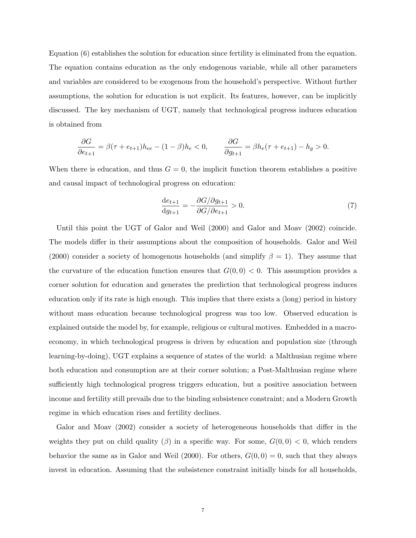Equation (6) establishes the solution for education since fertility is eliminated from the equation. The equation contains education as the only endogenous variable, while all other parameters and variables are considered to be exogenous from the household's perspective. Without further assumptions, the solution for education is not explicit. Its features, however, can be implicitly discussed. The key mechanism of UGT, namely that technological progress induces education is obtained from

$$
\frac{\partial G}{\partial e_{t+1}} = \beta(\tau + e_{t+1})h_{ee} - (1 - \beta)h_e < 0, \qquad \frac{\partial G}{\partial g_{t+1}} = \beta h_e(\tau + e_{t+1}) - h_g > 0.
$$

When there is education, and thus  $G = 0$ , the implicit function theorem establishes a positive and causal impact of technological progress on education:

$$
\frac{\mathrm{d}e_{t+1}}{\mathrm{d}g_{t+1}} = -\frac{\partial G/\partial g_{t+1}}{\partial G/\partial e_{t+1}} > 0. \tag{7}
$$

Until this point the UGT of Galor and Weil (2000) and Galor and Moav (2002) coincide. The models differ in their assumptions about the composition of households. Galor and Weil (2000) consider a society of homogenous households (and simplify  $\beta = 1$ ). They assume that the curvature of the education function ensures that  $G(0, 0) < 0$ . This assumption provides a corner solution for education and generates the prediction that technological progress induces education only if its rate is high enough. This implies that there exists a (long) period in history without mass education because technological progress was too low. Observed education is explained outside the model by, for example, religious or cultural motives. Embedded in a macroeconomy, in which technological progress is driven by education and population size (through learning-by-doing), UGT explains a sequence of states of the world: a Malthusian regime where both education and consumption are at their corner solution; a Post-Malthusian regime where sufficiently high technological progress triggers education, but a positive association between income and fertility still prevails due to the binding subsistence constraint; and a Modern Growth regime in which education rises and fertility declines.

Galor and Moav (2002) consider a society of heterogeneous households that differ in the weights they put on child quality ( $\beta$ ) in a specific way. For some,  $G(0,0) < 0$ , which renders behavior the same as in Galor and Weil (2000). For others,  $G(0,0) = 0$ , such that they always invest in education. Assuming that the subsistence constraint initially binds for all households,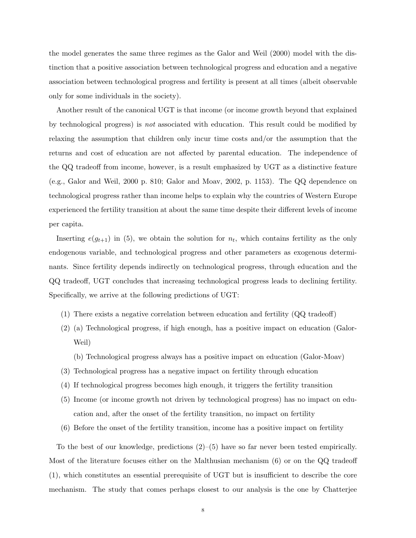the model generates the same three regimes as the Galor and Weil (2000) model with the distinction that a positive association between technological progress and education and a negative association between technological progress and fertility is present at all times (albeit observable only for some individuals in the society).

Another result of the canonical UGT is that income (or income growth beyond that explained by technological progress) is not associated with education. This result could be modified by relaxing the assumption that children only incur time costs and/or the assumption that the returns and cost of education are not affected by parental education. The independence of the QQ tradeoff from income, however, is a result emphasized by UGT as a distinctive feature (e.g., Galor and Weil, 2000 p. 810; Galor and Moav, 2002, p. 1153). The QQ dependence on technological progress rather than income helps to explain why the countries of Western Europe experienced the fertility transition at about the same time despite their different levels of income per capita.

Inserting  $e(g_{t+1})$  in (5), we obtain the solution for  $n_t$ , which contains fertility as the only endogenous variable, and technological progress and other parameters as exogenous determinants. Since fertility depends indirectly on technological progress, through education and the QQ tradeoff, UGT concludes that increasing technological progress leads to declining fertility. Specifically, we arrive at the following predictions of UGT:

- (1) There exists a negative correlation between education and fertility (QQ tradeoff)
- (2) (a) Technological progress, if high enough, has a positive impact on education (Galor-Weil)
	- (b) Technological progress always has a positive impact on education (Galor-Moav)
- (3) Technological progress has a negative impact on fertility through education
- (4) If technological progress becomes high enough, it triggers the fertility transition
- (5) Income (or income growth not driven by technological progress) has no impact on education and, after the onset of the fertility transition, no impact on fertility
- (6) Before the onset of the fertility transition, income has a positive impact on fertility

To the best of our knowledge, predictions  $(2)$ – $(5)$  have so far never been tested empirically. Most of the literature focuses either on the Malthusian mechanism (6) or on the QQ tradeoff (1), which constitutes an essential prerequisite of UGT but is insufficient to describe the core mechanism. The study that comes perhaps closest to our analysis is the one by Chatterjee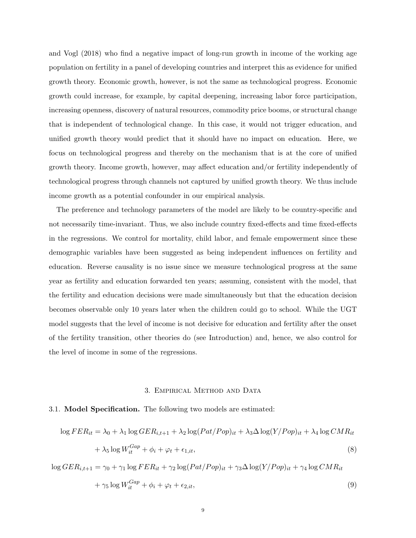and Vogl (2018) who find a negative impact of long-run growth in income of the working age population on fertility in a panel of developing countries and interpret this as evidence for unified growth theory. Economic growth, however, is not the same as technological progress. Economic growth could increase, for example, by capital deepening, increasing labor force participation, increasing openness, discovery of natural resources, commodity price booms, or structural change that is independent of technological change. In this case, it would not trigger education, and unified growth theory would predict that it should have no impact on education. Here, we focus on technological progress and thereby on the mechanism that is at the core of unified growth theory. Income growth, however, may affect education and/or fertility independently of technological progress through channels not captured by unified growth theory. We thus include income growth as a potential confounder in our empirical analysis.

The preference and technology parameters of the model are likely to be country-specific and not necessarily time-invariant. Thus, we also include country fixed-effects and time fixed-effects in the regressions. We control for mortality, child labor, and female empowerment since these demographic variables have been suggested as being independent influences on fertility and education. Reverse causality is no issue since we measure technological progress at the same year as fertility and education forwarded ten years; assuming, consistent with the model, that the fertility and education decisions were made simultaneously but that the education decision becomes observable only 10 years later when the children could go to school. While the UGT model suggests that the level of income is not decisive for education and fertility after the onset of the fertility transition, other theories do (see Introduction) and, hence, we also control for the level of income in some of the regressions.

### 3. Empirical Method and Data

#### 3.1. Model Specification. The following two models are estimated:

$$
\log FER_{it} = \lambda_0 + \lambda_1 \log GER_{i,t+1} + \lambda_2 \log (Pat/Pop)_{it} + \lambda_3 \Delta \log (Y/Pop)_{it} + \lambda_4 \log CMR_{it}
$$

$$
+ \lambda_5 \log W_{it}^{Gap} + \phi_i + \varphi_t + \epsilon_{1,it}, \tag{8}
$$

 $\log GER_{i,t+1} = \gamma_0 + \gamma_1 \log FER_{it} + \gamma_2 \log (Pat/Pop)_{it} + \gamma_3 \Delta \log (Y/Pop)_{it} + \gamma_4 \log CMR_{it}$  $+\gamma_5 \log W_{it}^{Gap} + \phi_i + \varphi_t + \epsilon_{2,it},$ (9)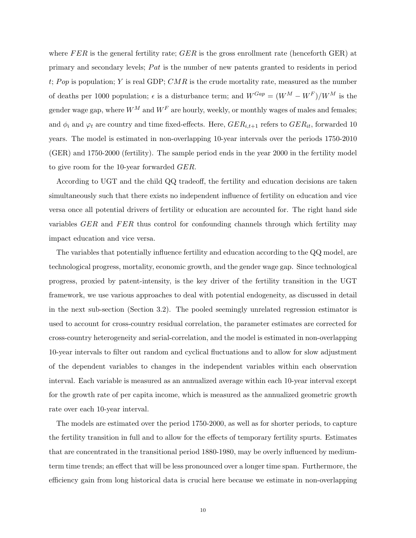where FER is the general fertility rate;  $GER$  is the gross enrollment rate (henceforth GER) at primary and secondary levels;  $Pat$  is the number of new patents granted to residents in period t; Pop is population; Y is real GDP;  $CMR$  is the crude mortality rate, measured as the number of deaths per 1000 population;  $\epsilon$  is a disturbance term; and  $W^{Gap} = (W^M - W^F)/W^M$  is the gender wage gap, where  $W^M$  and  $W^F$  are hourly, weekly, or monthly wages of males and females; and  $\phi_i$  and  $\varphi_t$  are country and time fixed-effects. Here,  $GER_{i,t+1}$  refers to  $GER_{it}$ , forwarded 10 years. The model is estimated in non-overlapping 10-year intervals over the periods 1750-2010 (GER) and 1750-2000 (fertility). The sample period ends in the year 2000 in the fertility model to give room for the 10-year forwarded GER.

According to UGT and the child QQ tradeoff, the fertility and education decisions are taken simultaneously such that there exists no independent influence of fertility on education and vice versa once all potential drivers of fertility or education are accounted for. The right hand side variables  $GER$  and  $FER$  thus control for confounding channels through which fertility may impact education and vice versa.

The variables that potentially influence fertility and education according to the QQ model, are technological progress, mortality, economic growth, and the gender wage gap. Since technological progress, proxied by patent-intensity, is the key driver of the fertility transition in the UGT framework, we use various approaches to deal with potential endogeneity, as discussed in detail in the next sub-section (Section 3.2). The pooled seemingly unrelated regression estimator is used to account for cross-country residual correlation, the parameter estimates are corrected for cross-country heterogeneity and serial-correlation, and the model is estimated in non-overlapping 10-year intervals to filter out random and cyclical fluctuations and to allow for slow adjustment of the dependent variables to changes in the independent variables within each observation interval. Each variable is measured as an annualized average within each 10-year interval except for the growth rate of per capita income, which is measured as the annualized geometric growth rate over each 10-year interval.

The models are estimated over the period 1750-2000, as well as for shorter periods, to capture the fertility transition in full and to allow for the effects of temporary fertility spurts. Estimates that are concentrated in the transitional period 1880-1980, may be overly influenced by mediumterm time trends; an effect that will be less pronounced over a longer time span. Furthermore, the efficiency gain from long historical data is crucial here because we estimate in non-overlapping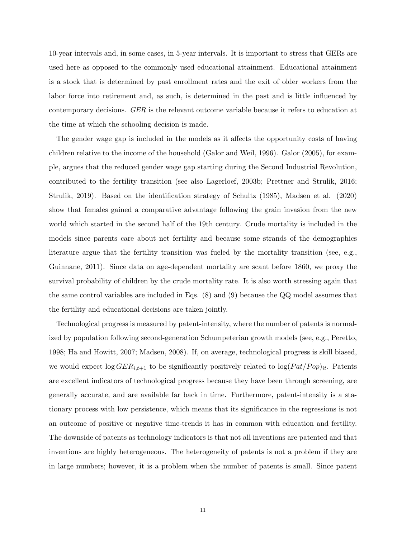10-year intervals and, in some cases, in 5-year intervals. It is important to stress that GERs are used here as opposed to the commonly used educational attainment. Educational attainment is a stock that is determined by past enrollment rates and the exit of older workers from the labor force into retirement and, as such, is determined in the past and is little influenced by contemporary decisions. GER is the relevant outcome variable because it refers to education at the time at which the schooling decision is made.

The gender wage gap is included in the models as it affects the opportunity costs of having children relative to the income of the household (Galor and Weil, 1996). Galor (2005), for example, argues that the reduced gender wage gap starting during the Second Industrial Revolution, contributed to the fertility transition (see also Lagerloef, 2003b; Prettner and Strulik, 2016; Strulik, 2019). Based on the identification strategy of Schultz (1985), Madsen et al. (2020) show that females gained a comparative advantage following the grain invasion from the new world which started in the second half of the 19th century. Crude mortality is included in the models since parents care about net fertility and because some strands of the demographics literature argue that the fertility transition was fueled by the mortality transition (see, e.g., Guinnane, 2011). Since data on age-dependent mortality are scant before 1860, we proxy the survival probability of children by the crude mortality rate. It is also worth stressing again that the same control variables are included in Eqs. (8) and (9) because the QQ model assumes that the fertility and educational decisions are taken jointly.

Technological progress is measured by patent-intensity, where the number of patents is normalized by population following second-generation Schumpeterian growth models (see, e.g., Peretto, 1998; Ha and Howitt, 2007; Madsen, 2008). If, on average, technological progress is skill biased, we would expect  $\log GER_{i,t+1}$  to be significantly positively related to  $\log (Pat/Pop)_{it}$ . Patents are excellent indicators of technological progress because they have been through screening, are generally accurate, and are available far back in time. Furthermore, patent-intensity is a stationary process with low persistence, which means that its significance in the regressions is not an outcome of positive or negative time-trends it has in common with education and fertility. The downside of patents as technology indicators is that not all inventions are patented and that inventions are highly heterogeneous. The heterogeneity of patents is not a problem if they are in large numbers; however, it is a problem when the number of patents is small. Since patent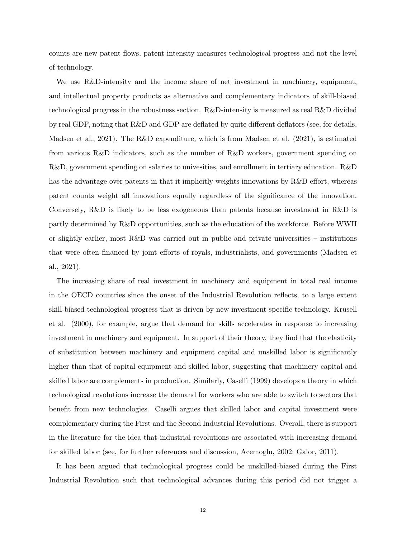counts are new patent flows, patent-intensity measures technological progress and not the level of technology.

We use R&D-intensity and the income share of net investment in machinery, equipment, and intellectual property products as alternative and complementary indicators of skill-biased technological progress in the robustness section. R&D-intensity is measured as real R&D divided by real GDP, noting that R&D and GDP are deflated by quite different deflators (see, for details, Madsen et al., 2021). The R&D expenditure, which is from Madsen et al. (2021), is estimated from various R&D indicators, such as the number of R&D workers, government spending on R&D, government spending on salaries to univesities, and enrollment in tertiary education. R&D has the advantage over patents in that it implicitly weights innovations by R&D effort, whereas patent counts weight all innovations equally regardless of the significance of the innovation. Conversely, R&D is likely to be less exogeneous than patents because investment in R&D is partly determined by R&D opportunities, such as the education of the workforce. Before WWII or slightly earlier, most  $R\&D$  was carried out in public and private universities – institutions that were often financed by joint efforts of royals, industrialists, and governments (Madsen et al., 2021).

The increasing share of real investment in machinery and equipment in total real income in the OECD countries since the onset of the Industrial Revolution reflects, to a large extent skill-biased technological progress that is driven by new investment-specific technology. Krusell et al. (2000), for example, argue that demand for skills accelerates in response to increasing investment in machinery and equipment. In support of their theory, they find that the elasticity of substitution between machinery and equipment capital and unskilled labor is significantly higher than that of capital equipment and skilled labor, suggesting that machinery capital and skilled labor are complements in production. Similarly, Caselli (1999) develops a theory in which technological revolutions increase the demand for workers who are able to switch to sectors that benefit from new technologies. Caselli argues that skilled labor and capital investment were complementary during the First and the Second Industrial Revolutions. Overall, there is support in the literature for the idea that industrial revolutions are associated with increasing demand for skilled labor (see, for further references and discussion, Acemoglu, 2002; Galor, 2011).

It has been argued that technological progress could be unskilled-biased during the First Industrial Revolution such that technological advances during this period did not trigger a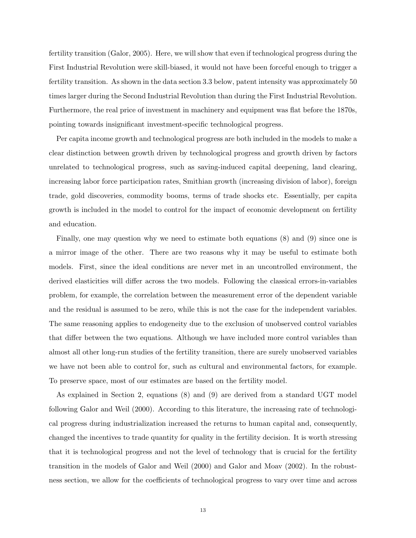fertility transition (Galor, 2005). Here, we will show that even if technological progress during the First Industrial Revolution were skill-biased, it would not have been forceful enough to trigger a fertility transition. As shown in the data section 3.3 below, patent intensity was approximately 50 times larger during the Second Industrial Revolution than during the First Industrial Revolution. Furthermore, the real price of investment in machinery and equipment was flat before the 1870s, pointing towards insignificant investment-specific technological progress.

Per capita income growth and technological progress are both included in the models to make a clear distinction between growth driven by technological progress and growth driven by factors unrelated to technological progress, such as saving-induced capital deepening, land clearing, increasing labor force participation rates, Smithian growth (increasing division of labor), foreign trade, gold discoveries, commodity booms, terms of trade shocks etc. Essentially, per capita growth is included in the model to control for the impact of economic development on fertility and education.

Finally, one may question why we need to estimate both equations (8) and (9) since one is a mirror image of the other. There are two reasons why it may be useful to estimate both models. First, since the ideal conditions are never met in an uncontrolled environment, the derived elasticities will differ across the two models. Following the classical errors-in-variables problem, for example, the correlation between the measurement error of the dependent variable and the residual is assumed to be zero, while this is not the case for the independent variables. The same reasoning applies to endogeneity due to the exclusion of unobserved control variables that differ between the two equations. Although we have included more control variables than almost all other long-run studies of the fertility transition, there are surely unobserved variables we have not been able to control for, such as cultural and environmental factors, for example. To preserve space, most of our estimates are based on the fertility model.

As explained in Section 2, equations (8) and (9) are derived from a standard UGT model following Galor and Weil (2000). According to this literature, the increasing rate of technological progress during industrialization increased the returns to human capital and, consequently, changed the incentives to trade quantity for quality in the fertility decision. It is worth stressing that it is technological progress and not the level of technology that is crucial for the fertility transition in the models of Galor and Weil (2000) and Galor and Moav (2002). In the robustness section, we allow for the coefficients of technological progress to vary over time and across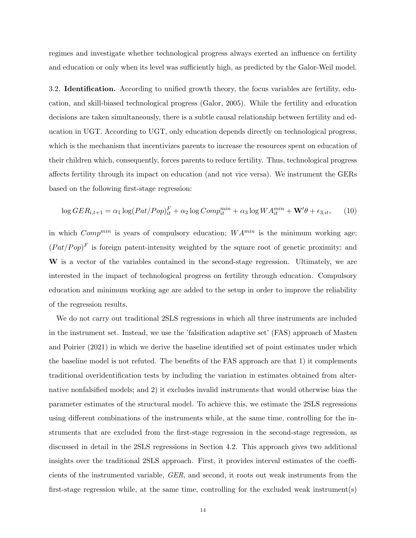regimes and investigate whether technological progress always exerted an influence on fertility and education or only when its level was sufficiently high, as predicted by the Galor-Weil model.

3.2. Identification. According to unified growth theory, the focus variables are fertility, education, and skill-biased technological progress (Galor, 2005). While the fertility and education decisions are taken simultaneously, there is a subtle causal relationship between fertility and education in UGT. According to UGT, only education depends directly on technological progress, which is the mechanism that incentivizes parents to increase the resources spent on education of their children which, consequently, forces parents to reduce fertility. Thus, technological progress affects fertility through its impact on education (and not vice versa). We instrument the GERs based on the following first-stage regression:

$$
\log GER_{i,t+1} = \alpha_1 \log (Pat/Pop)_{it}^F + \alpha_2 \log Comp_{it}^{min} + \alpha_3 \log WA_{it}^{min} + \mathbf{W}'\theta + \epsilon_{3,it},\tag{10}
$$

in which  $Comp^{min}$  is years of compulsory education;  $WA^{min}$  is the minimum working age;  $(Pat/Pop)^F$  is foreign patent-intensity weighted by the square root of genetic proximity; and W is a vector of the variables contained in the second-stage regression. Ultimately, we are interested in the impact of technological progress on fertility through education. Compulsory education and minimum working age are added to the setup in order to improve the reliability of the regression results.

We do not carry out traditional 2SLS regressions in which all three instruments are included in the instrument set. Instead, we use the 'falsification adaptive set' (FAS) approach of Masten and Poirier (2021) in which we derive the baseline identified set of point estimates under which the baseline model is not refuted. The benefits of the FAS approach are that 1) it complements traditional overidentification tests by including the variation in estimates obtained from alternative nonfalsified models; and 2) it excludes invalid instruments that would otherwise bias the parameter estimates of the structural model. To achieve this, we estimate the 2SLS regressions using different combinations of the instruments while, at the same time, controlling for the instruments that are excluded from the first-stage regression in the second-stage regression, as discussed in detail in the 2SLS regressions in Section 4.2. This approach gives two additional insights over the traditional 2SLS approach. First, it provides interval estimates of the coefficients of the instrumented variable, GER, and second, it roots out weak instruments from the first-stage regression while, at the same time, controlling for the excluded weak instrument(s)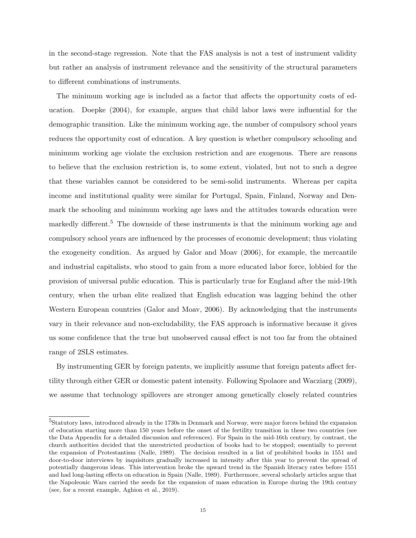in the second-stage regression. Note that the FAS analysis is not a test of instrument validity but rather an analysis of instrument relevance and the sensitivity of the structural parameters to different combinations of instruments.

The minimum working age is included as a factor that affects the opportunity costs of education. Doepke (2004), for example, argues that child labor laws were influential for the demographic transition. Like the minimum working age, the number of compulsory school years reduces the opportunity cost of education. A key question is whether compulsory schooling and minimum working age violate the exclusion restriction and are exogenous. There are reasons to believe that the exclusion restriction is, to some extent, violated, but not to such a degree that these variables cannot be considered to be semi-solid instruments. Whereas per capita income and institutional quality were similar for Portugal, Spain, Finland, Norway and Denmark the schooling and minimum working age laws and the attitudes towards education were markedly different.<sup>5</sup> The downside of these instruments is that the minimum working age and compulsory school years are influenced by the processes of economic development; thus violating the exogeneity condition. As argued by Galor and Moav (2006), for example, the mercantile and industrial capitalists, who stood to gain from a more educated labor force, lobbied for the provision of universal public education. This is particularly true for England after the mid-19th century, when the urban elite realized that English education was lagging behind the other Western European countries (Galor and Moav, 2006). By acknowledging that the instruments vary in their relevance and non-excludability, the FAS approach is informative because it gives us some confidence that the true but unobserved causal effect is not too far from the obtained range of 2SLS estimates.

By instrumenting GER by foreign patents, we implicitly assume that foreign patents affect fertility through either GER or domestic patent intensity. Following Spolaore and Wacziarg (2009), we assume that technology spillovers are stronger among genetically closely related countries

<sup>5</sup>Statutory laws, introduced already in the 1730s in Denmark and Norway, were major forces behind the expansion of education starting more than 150 years before the onset of the fertility transition in these two countries (see the Data Appendix for a detailed discussion and references). For Spain in the mid-16th century, by contrast, the church authorities decided that the unrestricted production of books had to be stopped; essentially to prevent the expansion of Protestantism (Nalle, 1989). The decision resulted in a list of prohibited books in 1551 and door-to-door interviews by inquisitors gradually increased in intensity after this year to prevent the spread of potentially dangerous ideas. This intervention broke the upward trend in the Spanish literacy rates before 1551 and had long-lasting effects on education in Spain (Nalle, 1989). Furthermore, several scholarly articles argue that the Napoleonic Wars carried the seeds for the expansion of mass education in Europe during the 19th century (see, for a recent example, Aghion et al., 2019).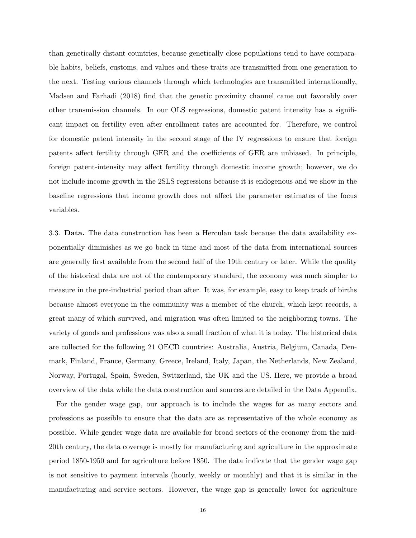than genetically distant countries, because genetically close populations tend to have comparable habits, beliefs, customs, and values and these traits are transmitted from one generation to the next. Testing various channels through which technologies are transmitted internationally, Madsen and Farhadi (2018) find that the genetic proximity channel came out favorably over other transmission channels. In our OLS regressions, domestic patent intensity has a significant impact on fertility even after enrollment rates are accounted for. Therefore, we control for domestic patent intensity in the second stage of the IV regressions to ensure that foreign patents affect fertility through GER and the coefficients of GER are unbiased. In principle, foreign patent-intensity may affect fertility through domestic income growth; however, we do not include income growth in the 2SLS regressions because it is endogenous and we show in the baseline regressions that income growth does not affect the parameter estimates of the focus variables.

3.3. Data. The data construction has been a Herculan task because the data availability exponentially diminishes as we go back in time and most of the data from international sources are generally first available from the second half of the 19th century or later. While the quality of the historical data are not of the contemporary standard, the economy was much simpler to measure in the pre-industrial period than after. It was, for example, easy to keep track of births because almost everyone in the community was a member of the church, which kept records, a great many of which survived, and migration was often limited to the neighboring towns. The variety of goods and professions was also a small fraction of what it is today. The historical data are collected for the following 21 OECD countries: Australia, Austria, Belgium, Canada, Denmark, Finland, France, Germany, Greece, Ireland, Italy, Japan, the Netherlands, New Zealand, Norway, Portugal, Spain, Sweden, Switzerland, the UK and the US. Here, we provide a broad overview of the data while the data construction and sources are detailed in the Data Appendix.

For the gender wage gap, our approach is to include the wages for as many sectors and professions as possible to ensure that the data are as representative of the whole economy as possible. While gender wage data are available for broad sectors of the economy from the mid-20th century, the data coverage is mostly for manufacturing and agriculture in the approximate period 1850-1950 and for agriculture before 1850. The data indicate that the gender wage gap is not sensitive to payment intervals (hourly, weekly or monthly) and that it is similar in the manufacturing and service sectors. However, the wage gap is generally lower for agriculture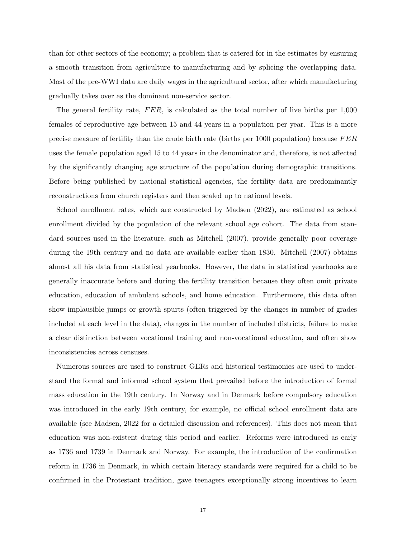than for other sectors of the economy; a problem that is catered for in the estimates by ensuring a smooth transition from agriculture to manufacturing and by splicing the overlapping data. Most of the pre-WWI data are daily wages in the agricultural sector, after which manufacturing gradually takes over as the dominant non-service sector.

The general fertility rate,  $FER$ , is calculated as the total number of live births per  $1,000$ females of reproductive age between 15 and 44 years in a population per year. This is a more precise measure of fertility than the crude birth rate (births per 1000 population) because  $FER$ uses the female population aged 15 to 44 years in the denominator and, therefore, is not affected by the significantly changing age structure of the population during demographic transitions. Before being published by national statistical agencies, the fertility data are predominantly reconstructions from church registers and then scaled up to national levels.

School enrollment rates, which are constructed by Madsen (2022), are estimated as school enrollment divided by the population of the relevant school age cohort. The data from standard sources used in the literature, such as Mitchell (2007), provide generally poor coverage during the 19th century and no data are available earlier than 1830. Mitchell (2007) obtains almost all his data from statistical yearbooks. However, the data in statistical yearbooks are generally inaccurate before and during the fertility transition because they often omit private education, education of ambulant schools, and home education. Furthermore, this data often show implausible jumps or growth spurts (often triggered by the changes in number of grades included at each level in the data), changes in the number of included districts, failure to make a clear distinction between vocational training and non-vocational education, and often show inconsistencies across censuses.

Numerous sources are used to construct GERs and historical testimonies are used to understand the formal and informal school system that prevailed before the introduction of formal mass education in the 19th century. In Norway and in Denmark before compulsory education was introduced in the early 19th century, for example, no official school enrollment data are available (see Madsen, 2022 for a detailed discussion and references). This does not mean that education was non-existent during this period and earlier. Reforms were introduced as early as 1736 and 1739 in Denmark and Norway. For example, the introduction of the confirmation reform in 1736 in Denmark, in which certain literacy standards were required for a child to be confirmed in the Protestant tradition, gave teenagers exceptionally strong incentives to learn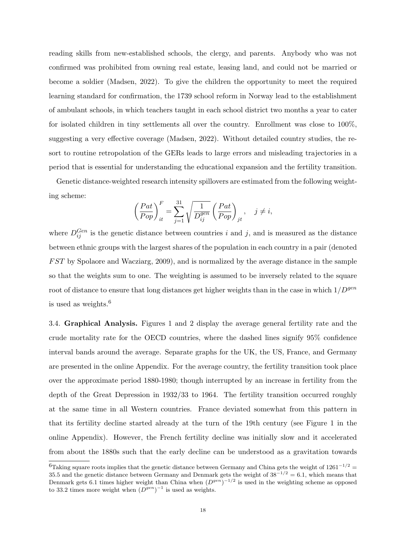reading skills from new-established schools, the clergy, and parents. Anybody who was not confirmed was prohibited from owning real estate, leasing land, and could not be married or become a soldier (Madsen, 2022). To give the children the opportunity to meet the required learning standard for confirmation, the 1739 school reform in Norway lead to the establishment of ambulant schools, in which teachers taught in each school district two months a year to cater for isolated children in tiny settlements all over the country. Enrollment was close to 100%, suggesting a very effective coverage (Madsen, 2022). Without detailed country studies, the resort to routine retropolation of the GERs leads to large errors and misleading trajectories in a period that is essential for understanding the educational expansion and the fertility transition.

Genetic distance-weighted research intensity spillovers are estimated from the following weighting scheme:

$$
\left(\frac{Pat}{Pop}\right)_{it}^F = \sum_{j=1}^{31} \sqrt{\frac{1}{D_{ij}^{gen}}} \left(\frac{Pat}{Pop}\right)_{jt}, \quad j \neq i,
$$

where  $D_{ij}^{Gen}$  is the genetic distance between countries i and j, and is measured as the distance between ethnic groups with the largest shares of the population in each country in a pair (denoted F ST by Spolaore and Wacziarg, 2009), and is normalized by the average distance in the sample so that the weights sum to one. The weighting is assumed to be inversely related to the square root of distance to ensure that long distances get higher weights than in the case in which  $1/D^{gen}$ is used as weights. $6$ 

3.4. Graphical Analysis. Figures 1 and 2 display the average general fertility rate and the crude mortality rate for the OECD countries, where the dashed lines signify 95% confidence interval bands around the average. Separate graphs for the UK, the US, France, and Germany are presented in the online Appendix. For the average country, the fertility transition took place over the approximate period 1880-1980; though interrupted by an increase in fertility from the depth of the Great Depression in 1932/33 to 1964. The fertility transition occurred roughly at the same time in all Western countries. France deviated somewhat from this pattern in that its fertility decline started already at the turn of the 19th century (see Figure 1 in the online Appendix). However, the French fertility decline was initially slow and it accelerated from about the 1880s such that the early decline can be understood as a gravitation towards

<sup>&</sup>lt;sup>6</sup>Taking square roots implies that the genetic distance between Germany and China gets the weight of 1261<sup>-1/2</sup> = 35.5 and the genetic distance between Germany and Denmark gets the weight of  $38^{-1/2} = 6.1$ , which means that Denmark gets 6.1 times higher weight than China when  $(D^{gen})^{-1/2}$  is used in the weighting scheme as opposed to 33.2 times more weight when  $(D^{gen})^{-1}$  is used as weights.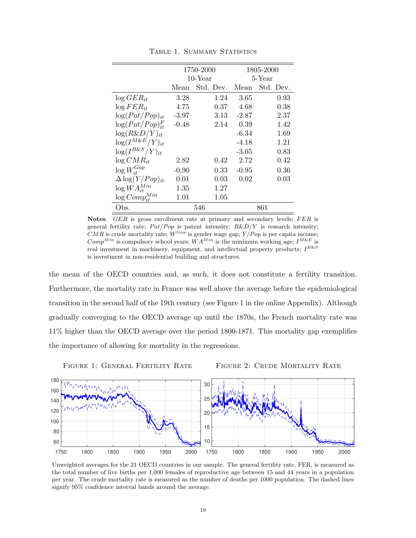|                            |         | 1750-2000 | 1805-2000 |           |  |  |
|----------------------------|---------|-----------|-----------|-----------|--|--|
|                            |         | 10-Year   |           | 5-Year    |  |  |
|                            | Mean    | Std. Dev. | Mean      | Std. Dev. |  |  |
| $\log GER_{it}$            | 3.28    | 1.24      | 3.65      | 0.93      |  |  |
| $\log FER_{it}$            | 4.75    | 0.37      | 4.68      | 0.38      |  |  |
| $log(Pat/Pop)_{it}$        | -3.97   | 3.13      | $-2.87$   | 2.37      |  |  |
| $\log (Pat/Pop)_{i\neq}^F$ | $-0.48$ | 2.14      | 0.39      | 1.42      |  |  |
| $\log(R\&D/Y)_{it}$        |         |           | $-6.34$   | 1.69      |  |  |
| $\log(I^{M\&E}/Y)_{it}$    |         |           | $-4.18$   | 1.21      |  |  |
| $\log(I^{B\&S}/Y)_{it}$    |         |           | $-3.05$   | 0.83      |  |  |
| $\log CMR_{it}$            | 2.82    | 0.42      | 2.72      | 0.42      |  |  |
| $\log W_{it}^{Gap}$        | $-0.90$ | 0.33      | $-0.95$   | 0.36      |  |  |
| $\Delta \log(Y/Pop)_{it}$  | 0.01    | 0.03      | 0.02      | 0.03      |  |  |
| $\log WA_{it}^{Min}$       | 1.35    | 1.27      |           |           |  |  |
| $\log Comp_{it}^{Min}$     | 1.01    | $1.05\,$  |           |           |  |  |
| Obs.                       |         | 546       |           | 861       |  |  |

TABLE 1. SUMMARY STATISTICS

Notes.  $GER$  is gross enrollment rate at primary and secondary levels;  $FER$  is general fertility rate;  $Pat/Pop$  is patent intensity;  $R\&D/Y$  is research intensity;  $CMR$  is crude mortality rate;  $W^{Gap}$  is gender wage gap;  $Y/Pop$  is per capita income;  $Comp^{Min}$  is compulsory school years;  $WA^{Min}$  is the minimum working age;  $I^{M\&E}$  is real investment in machinery, equipment, and intellectual property products;  $I^{B\&S}$ is investment in non-residential building and structures.

the mean of the OECD countries and, as such, it does not constitute a fertility transition. Furthermore, the mortality rate in France was well above the average before the epidemiological transition in the second half of the 19th century (see Figure 1 in the online Appendix). Although gradually converging to the OECD average up until the 1870s, the French mortality rate was 11% higher than the OECD average over the period 1800-1871. This mortality gap exemplifies the importance of allowing for mortality in the regressions.



Unweighted averages for the 21 OECD countries in our sample. The general fertility rate, FER, is measured as the total number of live births per 1,000 females of reproductive age between 15 and 44 years in a population per year. The crude mortality rate is measured as the number of deaths per 1000 population. The dashed lines signify 95% confidence interval bands around the average.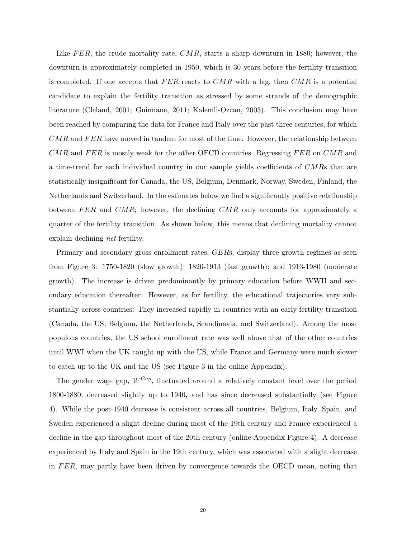Like FER, the crude mortality rate,  $CMR$ , starts a sharp downturn in 1880; however, the downturn is approximately completed in 1950, which is 30 years before the fertility transition is completed. If one accepts that  $FER$  reacts to  $CMR$  with a lag, then  $CMR$  is a potential candidate to explain the fertility transition as stressed by some strands of the demographic literature (Cleland, 2001; Guinnane, 2011; Kalemli-Ozcan, 2003). This conclusion may have been reached by comparing the data for France and Italy over the past three centuries, for which  $CMR$  and  $FER$  have moved in tandem for most of the time. However, the relationship between  $CMR$  and  $FER$  is mostly weak for the other OECD countries. Regressing  $FER$  on  $CMR$  and a time-trend for each individual country in our sample yields coefficients of CMRs that are statistically insignificant for Canada, the US, Belgium, Denmark, Norway, Sweden, Finland, the Netherlands and Switzerland. In the estimates below we find a significantly positive relationship between FER and CMR; however, the declining CMR only accounts for approximately a quarter of the fertility transition. As shown below, this means that declining mortality cannot explain declining net fertility.

Primary and secondary gross enrollment rates, GERs, display three growth regimes as seen from Figure 3: 1750-1820 (slow growth); 1820-1913 (fast growth); and 1913-1980 (moderate growth). The increase is driven predominantly by primary education before WWII and secondary education thereafter. However, as for fertility, the educational trajectories vary substantially across countries: They increased rapidly in countries with an early fertility transition (Canada, the US, Belgium, the Netherlands, Scandinavia, and Switzerland). Among the most populous countries, the US school enrollment rate was well above that of the other countries until WWI when the UK caught up with the US, while France and Germany were much slower to catch up to the UK and the US (see Figure 3 in the online Appendix).

The gender wage gap,  $W^{Gap}$ , fluctuated around a relatively constant level over the period 1800-1880, decreased slightly up to 1940, and has since decreased substantially (see Figure 4). While the post-1940 decrease is consistent across all countries, Belgium, Italy, Spain, and Sweden experienced a slight decline during most of the 19th century and France experienced a decline in the gap throughout most of the 20th century (online Appendix Figure 4). A decrease experienced by Italy and Spain in the 19th century, which was associated with a slight decrease in FER, may partly have been driven by convergence towards the OECD mean, noting that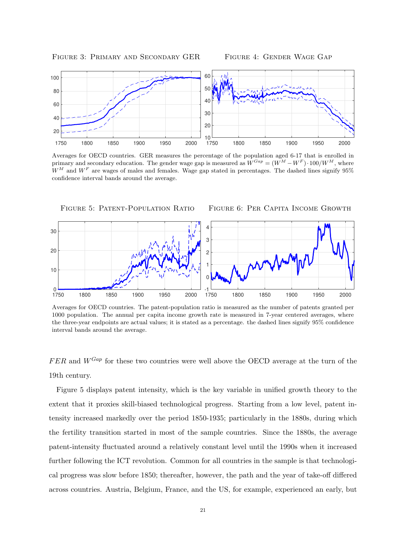



Averages for OECD countries. GER measures the percentage of the population aged 6-17 that is enrolled in primary and secondary education. The gender wage gap is measured as  $W^{Gap} = (W^M - W^F) \cdot 100/W^M$ , where  $W^M$  and  $W^F$  are wages of males and females. Wage gap stated in percentages. The dashed lines signify 95% confidence interval bands around the average.



Averages for OECD countries. The patent-population ratio is measured as the number of patents granted per 1000 population. The annual per capita income growth rate is measured in 7-year centered averages, where the three-year endpoints are actual values; it is stated as a percentage. the dashed lines signify 95% confidence interval bands around the average.

 $FER$  and  $W^{Gap}$  for these two countries were well above the OECD average at the turn of the 19th century.

Figure 5 displays patent intensity, which is the key variable in unified growth theory to the extent that it proxies skill-biased technological progress. Starting from a low level, patent intensity increased markedly over the period 1850-1935; particularly in the 1880s, during which the fertility transition started in most of the sample countries. Since the 1880s, the average patent-intensity fluctuated around a relatively constant level until the 1990s when it increased further following the ICT revolution. Common for all countries in the sample is that technological progress was slow before 1850; thereafter, however, the path and the year of take-off differed across countries. Austria, Belgium, France, and the US, for example, experienced an early, but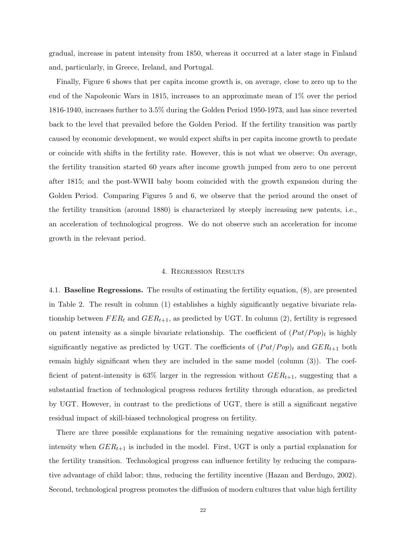gradual, increase in patent intensity from 1850, whereas it occurred at a later stage in Finland and, particularly, in Greece, Ireland, and Portugal.

Finally, Figure 6 shows that per capita income growth is, on average, close to zero up to the end of the Napoleonic Wars in 1815, increases to an approximate mean of 1% over the period 1816-1940, increases further to 3.5% during the Golden Period 1950-1973, and has since reverted back to the level that prevailed before the Golden Period. If the fertility transition was partly caused by economic development, we would expect shifts in per capita income growth to predate or coincide with shifts in the fertility rate. However, this is not what we observe: On average, the fertility transition started 60 years after income growth jumped from zero to one percent after 1815; and the post-WWII baby boom coincided with the growth expansion during the Golden Period. Comparing Figures 5 and 6, we observe that the period around the onset of the fertility transition (around 1880) is characterized by steeply increasing new patents, i.e., an acceleration of technological progress. We do not observe such an acceleration for income growth in the relevant period.

### 4. Regression Results

4.1. Baseline Regressions. The results of estimating the fertility equation, (8), are presented in Table 2. The result in column (1) establishes a highly significantly negative bivariate relationship between  $FER_t$  and  $GER_{t+1}$ , as predicted by UGT. In column (2), fertility is regressed on patent intensity as a simple bivariate relationship. The coefficient of  $(Pat/Pop)_t$  is highly significantly negative as predicted by UGT. The coefficients of  $(Pat/Pop)_t$  and  $GER_{t+1}$  both remain highly significant when they are included in the same model (column (3)). The coefficient of patent-intensity is 63% larger in the regression without  $GER_{t+1}$ , suggesting that a substantial fraction of technological progress reduces fertility through education, as predicted by UGT. However, in contrast to the predictions of UGT, there is still a significant negative residual impact of skill-biased technological progress on fertility.

There are three possible explanations for the remaining negative association with patentintensity when  $GER_{t+1}$  is included in the model. First, UGT is only a partial explanation for the fertility transition. Technological progress can influence fertility by reducing the comparative advantage of child labor; thus, reducing the fertility incentive (Hazan and Berdugo, 2002). Second, technological progress promotes the diffusion of modern cultures that value high fertility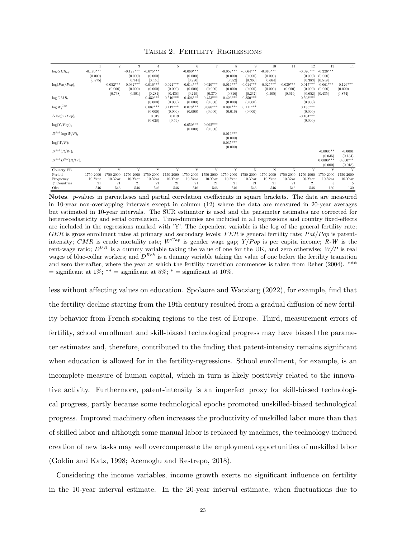|  | TABLE 2. FERTILITY REGRESSIONS |
|--|--------------------------------|
|  |                                |

|                                      |             | $\overline{2}$     | 3                  | 4                  | 5                  | 6                  | 7                  | 8                  | 9                  | 10                 | 11                 | 12                 | 13                 | 14                 |
|--------------------------------------|-------------|--------------------|--------------------|--------------------|--------------------|--------------------|--------------------|--------------------|--------------------|--------------------|--------------------|--------------------|--------------------|--------------------|
| $\log GER_{t+1}$                     | $-0.176***$ |                    | $-0.128***$        | $-0.075***$        |                    | $-0.060***$        |                    | $-0.052***$        | $-0.064***$        | $-0.010***$        |                    | $-0.020***$        | $-0.226***$        |                    |
|                                      | (0.000)     |                    | (0.000)            | (0.000)            |                    | (0.000)            |                    | (0.000)            | (0.000)            | (0.000)            |                    | (0.000)            | (0.000)            |                    |
|                                      | [0.875]     |                    | [0.744]            | [0.446]            |                    | [0.290]            |                    | [0.352]            | [0.360]            | [0.664]            |                    | [0.383]            | [0.549]            |                    |
| $log(Pat/Pop)_t$                     |             | $-0.052***$        | $-0.032***$        | $-0.016***$        | $-0.024***$        | $-0.014***$        | $-0.020***$        | $-0.016***$        | $-0.014***$        | $-0.025***$        | $-0.039***$        | $-0.017***$        | $-0.061***$        | $-0.126***$        |
|                                      |             | (0.000)<br>[0.738] | (0.000)<br>[0.591] | (0.000)<br>[0.281] | (0.000)<br>[0.438] | (0.000)<br>[0.249] | (0.000)<br>[0.370] | (0.000)<br>[0.316] | (0.000)<br>[0.237] | (0.000)<br>[0.505] | (0.000)<br>[0.619] | (0.000)<br>[0.652] | (0.000)<br>[0.435] | (0.000)<br>[0.874] |
| $\log CMR_t$                         |             |                    |                    | $0.452***$         | $0.510***$         | $0.426***$         | $0.453***$         | $0.426***$         | $0.350***$         |                    |                    | $0.593***$         |                    |                    |
|                                      |             |                    |                    | (0.000)            | (0.000)            | (0.000)            | (0.000)            | (0.000)            | (0.000)            |                    |                    | (0.000)            |                    |                    |
| $\log W_t^{Gap}$                     |             |                    |                    | $0.087***$         | $0.112***$         | $0.078***$         | $0.086***$         | $0.091***$         | $0.111***$         |                    |                    | $0.135***$         |                    |                    |
|                                      |             |                    |                    | (0.000)            | (0.000)            | (0.000)            | (0.000)            | (0.016)            | (0.000)            |                    |                    | (0.000)            |                    |                    |
| $\Delta \log(Y/Pop)_t$               |             |                    |                    | 0.019              | 0.019              |                    |                    |                    |                    |                    |                    | $-0.104***$        |                    |                    |
|                                      |             |                    |                    | (0.628)            | (0.59)             |                    |                    |                    |                    |                    |                    | (0.000)            |                    |                    |
| $\log(Y/Pop)_t$                      |             |                    |                    |                    |                    | $-0.050***$        | $-0.062***$        |                    |                    |                    |                    |                    |                    |                    |
|                                      |             |                    |                    |                    |                    | (0.000)            | (0.000)            |                    |                    |                    |                    |                    |                    |                    |
| $D^{Reh} \log(W/P)_t$                |             |                    |                    |                    |                    |                    |                    | $0.016***$         |                    |                    |                    |                    |                    |                    |
|                                      |             |                    |                    |                    |                    |                    |                    | (0.000)            |                    |                    |                    |                    |                    |                    |
| $\log(W/P)_t$                        |             |                    |                    |                    |                    |                    |                    | $-0.035***$        |                    |                    |                    |                    |                    |                    |
| $D^{Reh}(R/W)_t$                     |             |                    |                    |                    |                    |                    |                    | (0.000)            |                    |                    |                    |                    | $-0.0005**$        | $-0.0001$          |
|                                      |             |                    |                    |                    |                    |                    |                    |                    |                    |                    |                    |                    | (0.035)            | (0.134)            |
| ${\cal D}^{Reh}{\cal D}^{UK}(R/W)_t$ |             |                    |                    |                    |                    |                    |                    |                    |                    |                    |                    |                    | $0.0008***$        | $0.0007**$         |
|                                      |             |                    |                    |                    |                    |                    |                    |                    |                    |                    |                    |                    | (0.000)            | (0.018)            |
| Country FE                           | Y           | Y                  | Y                  | Y                  | Y                  | Y                  | Y                  | Y                  | N                  | N                  | N                  | Y                  | Y                  | Y                  |
| Period                               | 1750-2000   | 1750-2000          | 1750-2000          | 1750-2000          | 1750-2000          | 1750-2000          | 1750-2000          | 1750-2000          | 1750-2000          | 1750-2000          | 1750-2000          | 1750-2000          | 1750-2000          | 1750-2000          |
| Frequency                            | $10$ -Year  | $10$ -Year         | $10$ -Year         | $10$ -Year         | $10$ -Year         | $10$ -Year         | $10$ -Year         | $10$ -Year         | $10$ -Year         | $10$ -Year         | $10$ -Year         | 20-Year            | $10$ -Year         | $10$ -Year         |
| $#$ Countries                        | 21          | 21                 | 21                 | 21                 | 21                 | 21                 | 21                 | 21                 | 21                 | 21                 | 21                 | 21                 | 5                  | 5                  |
| Obs.                                 | 546         | 546                | 546                | 546                | 546                | 546                | 546                | 546                | 546                | 546                | 546                | 546                | 130                | 130                |

Notes. p-values in parentheses and partial correlation coefficients in square brackets. The data are measured in 10-year non-overlapping intervals except in column (12) where the data are measured in 20-year averages but estimated in 10-year intervals. The SUR estimator is used and the parameter estimates are corrected for heteroscedasticity and serial correlation. Time-dummies are included in all regressions and country fixed-effects are included in the regressions marked with 'Y'. The dependent variable is the log of the general fertility rate; GER is gross enrollment rates at primary and secondary levels; FER is general fertility rate;  $Pat/Pop$  is patentintensity; CMR is crude mortality rate;  $W^{Gap}$  is gender wage gap;  $Y/Pop$  is per capita income;  $R-W$  is the rent-wage ratio;  $D^{UK}$  is a dummy variable taking the value of one for the UK, and zero otherwise;  $W/P$  is real wages of blue-collar workers; and  $D^{Reh}$  is a dummy variable taking the value of one before the fertility transition and zero thereafter, where the year at which the fertility transition commences is taken from Reher (2004). \*\*\*  $=$  significant at 1%; \*\*  $=$  significant at 5%; \*  $=$  significant at 10%.

less without affecting values on education. Spolaore and Wacziarg (2022), for example, find that the fertility decline starting from the 19th century resulted from a gradual diffusion of new fertility behavior from French-speaking regions to the rest of Europe. Third, measurement errors of fertility, school enrollment and skill-biased technological progress may have biased the parameter estimates and, therefore, contributed to the finding that patent-intensity remains significant when education is allowed for in the fertility-regressions. School enrollment, for example, is an incomplete measure of human capital, which in turn is likely positively related to the innovative activity. Furthermore, patent-intensity is an imperfect proxy for skill-biased technological progress, partly because some technological epochs promoted unskilled-biased technological progress. Improved machinery often increases the productivity of unskilled labor more than that of skilled labor and although some manual labor is replaced by machines, the technology-induced creation of new tasks may well overcompensate the employment opportunities of unskilled labor (Goldin and Katz, 1998; Acemoglu and Restrepo, 2018).

Considering the income variables, income growth exerts no significant influence on fertility in the 10-year interval estimate. In the 20-year interval estimate, when fluctuations due to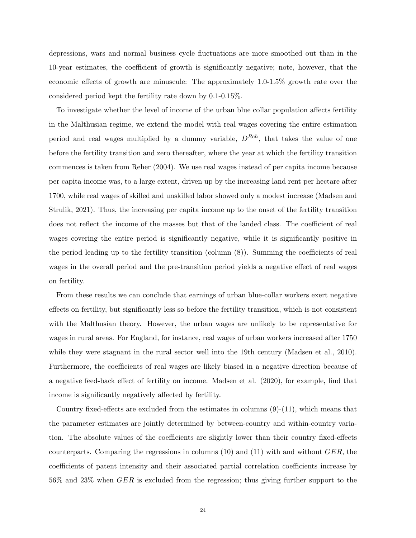depressions, wars and normal business cycle fluctuations are more smoothed out than in the 10-year estimates, the coefficient of growth is significantly negative; note, however, that the economic effects of growth are minuscule: The approximately 1.0-1.5% growth rate over the considered period kept the fertility rate down by 0.1-0.15%.

To investigate whether the level of income of the urban blue collar population affects fertility in the Malthusian regime, we extend the model with real wages covering the entire estimation period and real wages multiplied by a dummy variable,  $D^{Reh}$ , that takes the value of one before the fertility transition and zero thereafter, where the year at which the fertility transition commences is taken from Reher (2004). We use real wages instead of per capita income because per capita income was, to a large extent, driven up by the increasing land rent per hectare after 1700, while real wages of skilled and unskilled labor showed only a modest increase (Madsen and Strulik, 2021). Thus, the increasing per capita income up to the onset of the fertility transition does not reflect the income of the masses but that of the landed class. The coefficient of real wages covering the entire period is significantly negative, while it is significantly positive in the period leading up to the fertility transition (column (8)). Summing the coefficients of real wages in the overall period and the pre-transition period yields a negative effect of real wages on fertility.

From these results we can conclude that earnings of urban blue-collar workers exert negative effects on fertility, but significantly less so before the fertility transition, which is not consistent with the Malthusian theory. However, the urban wages are unlikely to be representative for wages in rural areas. For England, for instance, real wages of urban workers increased after 1750 while they were stagnant in the rural sector well into the 19th century (Madsen et al., 2010). Furthermore, the coefficients of real wages are likely biased in a negative direction because of a negative feed-back effect of fertility on income. Madsen et al. (2020), for example, find that income is significantly negatively affected by fertility.

Country fixed-effects are excluded from the estimates in columns  $(9)-(11)$ , which means that the parameter estimates are jointly determined by between-country and within-country variation. The absolute values of the coefficients are slightly lower than their country fixed-effects counterparts. Comparing the regressions in columns  $(10)$  and  $(11)$  with and without  $GER$ , the coefficients of patent intensity and their associated partial correlation coefficients increase by 56% and 23% when GER is excluded from the regression; thus giving further support to the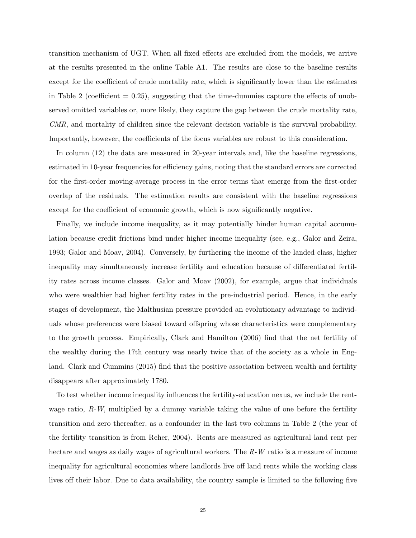transition mechanism of UGT. When all fixed effects are excluded from the models, we arrive at the results presented in the online Table A1. The results are close to the baseline results except for the coefficient of crude mortality rate, which is significantly lower than the estimates in Table 2 (coefficient  $= 0.25$ ), suggesting that the time-dummies capture the effects of unobserved omitted variables or, more likely, they capture the gap between the crude mortality rate, CMR, and mortality of children since the relevant decision variable is the survival probability. Importantly, however, the coefficients of the focus variables are robust to this consideration.

In column (12) the data are measured in 20-year intervals and, like the baseline regressions, estimated in 10-year frequencies for efficiency gains, noting that the standard errors are corrected for the first-order moving-average process in the error terms that emerge from the first-order overlap of the residuals. The estimation results are consistent with the baseline regressions except for the coefficient of economic growth, which is now significantly negative.

Finally, we include income inequality, as it may potentially hinder human capital accumulation because credit frictions bind under higher income inequality (see, e.g., Galor and Zeira, 1993; Galor and Moav, 2004). Conversely, by furthering the income of the landed class, higher inequality may simultaneously increase fertility and education because of differentiated fertility rates across income classes. Galor and Moav (2002), for example, argue that individuals who were wealthier had higher fertility rates in the pre-industrial period. Hence, in the early stages of development, the Malthusian pressure provided an evolutionary advantage to individuals whose preferences were biased toward offspring whose characteristics were complementary to the growth process. Empirically, Clark and Hamilton (2006) find that the net fertility of the wealthy during the 17th century was nearly twice that of the society as a whole in England. Clark and Cummins (2015) find that the positive association between wealth and fertility disappears after approximately 1780.

To test whether income inequality influences the fertility-education nexus, we include the rentwage ratio,  $R-W$ , multiplied by a dummy variable taking the value of one before the fertility transition and zero thereafter, as a confounder in the last two columns in Table 2 (the year of the fertility transition is from Reher, 2004). Rents are measured as agricultural land rent per hectare and wages as daily wages of agricultural workers. The R-W ratio is a measure of income inequality for agricultural economies where landlords live off land rents while the working class lives off their labor. Due to data availability, the country sample is limited to the following five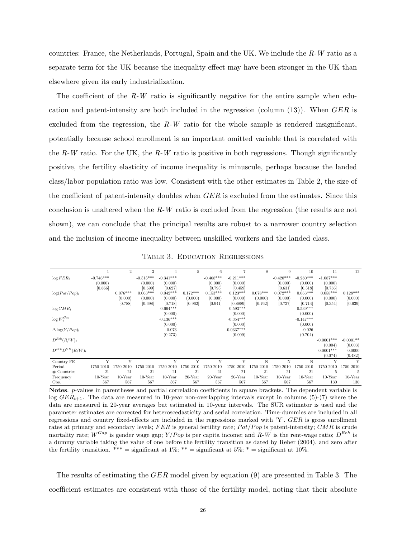countries: France, the Netherlands, Portugal, Spain and the UK. We include the  $R-W$  ratio as a separate term for the UK because the inequality effect may have been stronger in the UK than elsewhere given its early industrialization.

The coefficient of the  $R-W$  ratio is significantly negative for the entire sample when education and patent-intensity are both included in the regression (column  $(13)$ ). When  $GER$  is excluded from the regression, the  $R-W$  ratio for the whole sample is rendered insignificant, potentially because school enrollment is an important omitted variable that is correlated with the  $R-W$  ratio. For the UK, the  $R-W$  ratio is positive in both regressions. Though significantly positive, the fertility elasticity of income inequality is minuscule, perhaps because the landed class/labor population ratio was low. Consistent with the other estimates in Table 2, the size of the coefficient of patent-intensity doubles when  $GER$  is excluded from the estimates. Since this conclusion is unaltered when the R-W ratio is excluded from the regression (the results are not shown), we can conclude that the principal results are robust to a narrower country selection and the inclusion of income inequality between unskilled workers and the landed class.

|                                       |             | $\overline{2}$     | 3                  | 4                  | 5                  | 6                  |                     | 8                  | 9                  | 10                 | 11                 | 12                 |
|---------------------------------------|-------------|--------------------|--------------------|--------------------|--------------------|--------------------|---------------------|--------------------|--------------------|--------------------|--------------------|--------------------|
| $\log FER_t$                          | $-0.746***$ |                    | $-0.515***$        | $-0.341***$        |                    | $-0.468***$        | $-0.211***$         |                    | $-0.420***$        | $-0.280***$        | $-1.087***$        |                    |
|                                       | (0.000)     |                    | (0.000)            | (0.000)            |                    | (0.000)            | (0.000)             |                    | (0.000)            | (0.000)            | (0.000)            |                    |
|                                       | [0.866]     |                    | [0.699]            | [0.627]            |                    | [0.795]            | [0.459]             |                    | [0.631]            | [0.518]            | [0.736]            |                    |
| $log(Pat/Pop)_t$                      |             | $0.076***$         | $0.063***$         | $0.042***$         | $0.172***$         | $0.153***$         | $0.123***$          | $0.078***$         | $0.072***$         | $0.063***$         | $0.058***$         | $0.128***$         |
|                                       |             | (0.000)<br>[0.788] | (0.000)<br>[0.698] | (0.000)<br>[0.718] | (0.000)<br>[0.962] | (0.000)<br>[0.941] | (0.000)<br>[0.8889] | (0.000)<br>[0.762] | (0.000)<br>[0.737] | (0.000)<br>[0.714] | (0.000)<br>[0.354] | (0.000)<br>[0.639] |
| $\log CMR_t$                          |             |                    |                    | $-0.664***$        |                    |                    | $-0.593***$         |                    |                    | $-0.539***$        |                    |                    |
|                                       |             |                    |                    | (0.000)            |                    |                    | (0.000)             |                    |                    | (0.000)            |                    |                    |
| $\log W^{Gap}_t$                      |             |                    |                    | $-0.136***$        |                    |                    | $-0.354***$         |                    |                    | $-0.147***$        |                    |                    |
|                                       |             |                    |                    | (0.000)            |                    |                    | (0.000)             |                    |                    | (0.000)            |                    |                    |
| $\Delta \log(Y/Pop)_t$                |             |                    |                    | $-0.073$           |                    |                    | $-0.0337***$        |                    |                    | $-0.026$           |                    |                    |
|                                       |             |                    |                    | (0.273)            |                    |                    | (0.009)             |                    |                    | (0.704)            |                    |                    |
| $D^{Reh}(R/W)_t$                      |             |                    |                    |                    |                    |                    |                     |                    |                    |                    | $-0.0001***$       | $-0.0001**$        |
|                                       |             |                    |                    |                    |                    |                    |                     |                    |                    |                    | (0.004)            | (0.003)            |
| $D^{\operatorname{Reh}}D^{UK}(R/W)_t$ |             |                    |                    |                    |                    |                    |                     |                    |                    |                    | $0.0001***$        | 0.0000             |
|                                       |             |                    |                    |                    |                    |                    |                     |                    |                    |                    | (0.074)            | (0.482)            |
| Country FE                            | Y           | Y                  |                    | Y                  | Y                  | Y                  | Y                   | N                  | N                  | N                  | Y                  | Y                  |
| Period                                | 1750-2010   | 1750-2010          | 1750-2010          | 1750-2010          | 1750-2010          | 1750-2010          | 1750-2010           | 750-2010           | 1750-2010          | 1750-2010          | 1750-2010          | 1750-2010          |
| $#$ Countries                         | 21          | 21                 | 21                 | 21                 | 21                 | 21                 | 21                  | 21                 | 21                 | 21                 | 5                  | 5                  |
| Frequency                             | $10$ -Year  | $10$ -Year         | $10$ -Year         | $10$ -Year         | $20$ -Year         | $20$ -Year         | $20$ -Year          | $10$ -Year         | $10$ -Year         | $10$ -Year         | $10$ -Year         | $10$ -Year         |
| Obs.                                  | 567         | 567                | 567                | 567                | 567                | 567                | 567                 | 567                | 567                | 567                | 130                | 130                |

TABLE 3. EDUCATION REGRESSIONS

Notes. p-values in parentheses and partial correlation coefficients in square brackets. The dependent variable is  $\log GER_{t+1}$ . The data are measured in 10-year non-overlapping intervals except in columns (5)-(7) where the data are measured in 20-year averages but estimated in 10-year intervals. The SUR estimator is used and the parameter estimates are corrected for heteroscedasticity and serial correlation. Time-dummies are included in all regressions and country fixed-effects are included in the regressions marked with 'Y'. GER is gross enrollment rates at primary and secondary levels; FER is general fertility rate;  $Pat/Pop$  is patent-intensity; CMR is crude mortality rate;  $W^{Gap}$  is gender wage gap;  $Y/Pop$  is per capita income; and R-W is the rent-wage ratio;  $D^{Reh}$  is a dummy variable taking the value of one before the fertility transition as dated by Reher (2004), and zero after the fertility transition. \*\*\* = significant at 1%; \*\* = significant at 5%; \* = significant at 10%.

The results of estimating the GER model given by equation (9) are presented in Table 3. The coefficient estimates are consistent with those of the fertility model, noting that their absolute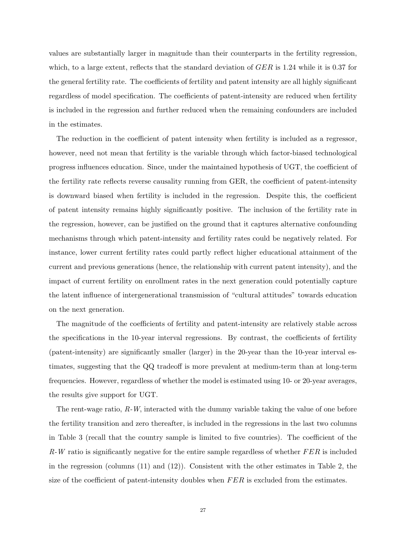values are substantially larger in magnitude than their counterparts in the fertility regression, which, to a large extent, reflects that the standard deviation of GER is 1.24 while it is 0.37 for the general fertility rate. The coefficients of fertility and patent intensity are all highly significant regardless of model specification. The coefficients of patent-intensity are reduced when fertility is included in the regression and further reduced when the remaining confounders are included in the estimates.

The reduction in the coefficient of patent intensity when fertility is included as a regressor, however, need not mean that fertility is the variable through which factor-biased technological progress influences education. Since, under the maintained hypothesis of UGT, the coefficient of the fertility rate reflects reverse causality running from GER, the coefficient of patent-intensity is downward biased when fertility is included in the regression. Despite this, the coefficient of patent intensity remains highly significantly positive. The inclusion of the fertility rate in the regression, however, can be justified on the ground that it captures alternative confounding mechanisms through which patent-intensity and fertility rates could be negatively related. For instance, lower current fertility rates could partly reflect higher educational attainment of the current and previous generations (hence, the relationship with current patent intensity), and the impact of current fertility on enrollment rates in the next generation could potentially capture the latent influence of intergenerational transmission of "cultural attitudes" towards education on the next generation.

The magnitude of the coefficients of fertility and patent-intensity are relatively stable across the specifications in the 10-year interval regressions. By contrast, the coefficients of fertility (patent-intensity) are significantly smaller (larger) in the 20-year than the 10-year interval estimates, suggesting that the QQ tradeoff is more prevalent at medium-term than at long-term frequencies. However, regardless of whether the model is estimated using 10- or 20-year averages, the results give support for UGT.

The rent-wage ratio, R-W, interacted with the dummy variable taking the value of one before the fertility transition and zero thereafter, is included in the regressions in the last two columns in Table 3 (recall that the country sample is limited to five countries). The coefficient of the  $R-W$  ratio is significantly negative for the entire sample regardless of whether  $FER$  is included in the regression (columns (11) and (12)). Consistent with the other estimates in Table 2, the size of the coefficient of patent-intensity doubles when  $FER$  is excluded from the estimates.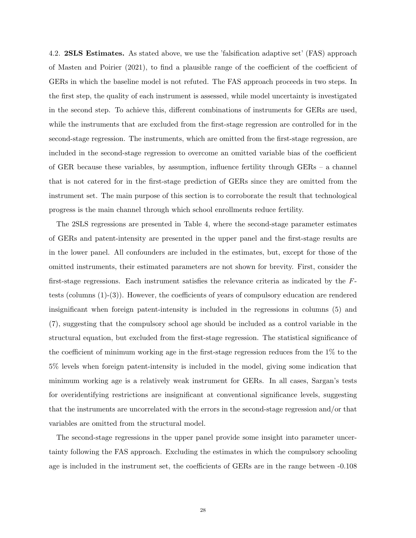4.2. 2SLS Estimates. As stated above, we use the 'falsification adaptive set' (FAS) approach of Masten and Poirier (2021), to find a plausible range of the coefficient of the coefficient of GERs in which the baseline model is not refuted. The FAS approach proceeds in two steps. In the first step, the quality of each instrument is assessed, while model uncertainty is investigated in the second step. To achieve this, different combinations of instruments for GERs are used, while the instruments that are excluded from the first-stage regression are controlled for in the second-stage regression. The instruments, which are omitted from the first-stage regression, are included in the second-stage regression to overcome an omitted variable bias of the coefficient of GER because these variables, by assumption, influence fertility through GERs – a channel that is not catered for in the first-stage prediction of GERs since they are omitted from the instrument set. The main purpose of this section is to corroborate the result that technological progress is the main channel through which school enrollments reduce fertility.

The 2SLS regressions are presented in Table 4, where the second-stage parameter estimates of GERs and patent-intensity are presented in the upper panel and the first-stage results are in the lower panel. All confounders are included in the estimates, but, except for those of the omitted instruments, their estimated parameters are not shown for brevity. First, consider the first-stage regressions. Each instrument satisfies the relevance criteria as indicated by the Ftests (columns (1)-(3)). However, the coefficients of years of compulsory education are rendered insignificant when foreign patent-intensity is included in the regressions in columns (5) and (7), suggesting that the compulsory school age should be included as a control variable in the structural equation, but excluded from the first-stage regression. The statistical significance of the coefficient of minimum working age in the first-stage regression reduces from the 1% to the 5% levels when foreign patent-intensity is included in the model, giving some indication that minimum working age is a relatively weak instrument for GERs. In all cases, Sargan's tests for overidentifying restrictions are insignificant at conventional significance levels, suggesting that the instruments are uncorrelated with the errors in the second-stage regression and/or that variables are omitted from the structural model.

The second-stage regressions in the upper panel provide some insight into parameter uncertainty following the FAS approach. Excluding the estimates in which the compulsory schooling age is included in the instrument set, the coefficients of GERs are in the range between -0.108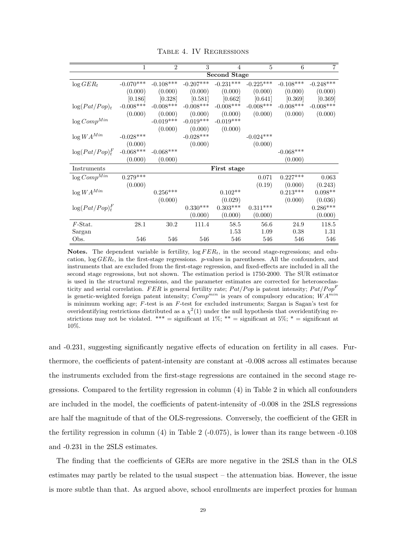|                      | $\mathbf{1}$ | $\overline{2}$ | 3               | $\overline{4}$      | 5           | 6           | $\overline{7}$ |
|----------------------|--------------|----------------|-----------------|---------------------|-------------|-------------|----------------|
|                      |              |                |                 | <b>Second Stage</b> |             |             |                |
| $\log GER_t$         | $-0.070***$  | $-0.108***$    | $-0.207***$     | $-0.231***$         | $-0.225***$ | $-0.108***$ | $-0.248***$    |
|                      | (0.000)      | (0.000)        | (0.000)         | (0.000)             | (0.000)     | (0.000)     | (0.000)        |
|                      | [0.186]      | [0.328]        | [0.581]         | [0.662]             | [0.641]     | [0.369]     | [0.369]        |
| $\log (Pat/Pop)_t$   | $-0.008***$  | $-0.008***$    | $-0.008***$     | $-0.008***$         | $-0.008***$ | $-0.008***$ | $-0.008***$    |
|                      | (0.000)      | (0.000)        | (0.000)         | (0.000)             | (0.000)     | (0.000)     | (0.000)        |
| $\log Comp^{Min}$    |              | $-0.019***$    | $-0.019***$     | $-0.019***$         |             |             |                |
|                      |              | (0.000)        | (0.000)         | (0.000)             |             |             |                |
| $\log WA^{Min}$      | $-0.028***$  |                | $-0.028***$     |                     | $-0.024***$ |             |                |
|                      | (0.000)      |                | (0.000)         |                     | (0.000)     |             |                |
| $\log (Pat/Pop)_t^F$ | $-0.068***$  | $-0.068***$    |                 |                     |             | $-0.068***$ |                |
|                      | (0.000)      | (0.000)        |                 |                     |             | (0.000)     |                |
| Instruments          |              |                |                 | First stage         |             |             |                |
| $\log Comp^{Min}$    | $0.279***$   |                |                 |                     | 0.071       | $0.227***$  | 0.063          |
|                      | (0.000)      |                |                 |                     | (0.19)      | (0.000)     | (0.243)        |
| $\log WA^{Min}$      |              | $0.256***$     |                 | $0.102**$           |             | $0.213***$  | $0.098**$      |
|                      |              | (0.000)        |                 | (0.029)             |             | (0.000)     | (0.036)        |
| $\log (Pat/Pop)_t^F$ |              |                | $0.330^{***}\;$ | $0.303***$          | $0.311***$  |             | $0.286***$     |
|                      |              |                | (0.000)         | (0.000)             | (0.000)     |             | (0.000)        |
| $F\text{-Stat.}$     | 28.1         | 30.2           | 111.4           | 58.5                | 56.6        | 24.9        | 118.5          |
| Sargan               |              |                |                 | 1.53                | 1.09        | 0.38        | 1.31           |
| Obs.                 | 546          | 546            | 546             | 546                 | 546         | 546         | 546            |

Table 4. IV Regressions

**Notes.** The dependent variable is fertility,  $\log FER_t$ , in the second stage-regressions; and education,  $\log GER_t$ , in the first-stage regressions. p-values in parentheses. All the confounders, and instruments that are excluded from the first-stage regression, and fixed-effects are included in all the second stage regressions, but not shown. The estimation period is 1750-2000. The SUR estimator is used in the structural regressions, and the parameter estimates are corrected for heteroscedasticity and serial correlation. FER is general fertility rate;  $Pat/Pop$  is patent intensity;  $Pat/Pop^F$ is genetic-weighted foreign patent intensity;  $Comp^{min}$  is years of compulsory education;  $WA^{min}$ is minimum working age; F-test is an F-test for excluded instruments; Sargan is Sagan's test for overidentifying restrictions distributed as a  $\chi^2(1)$  under the null hypothesis that overidentifying restrictions may not be violated. \*\*\* = significant at  $1\%$ ; \*\* = significant at  $5\%$ ; \* = significant at 10%.

and -0.231, suggesting significantly negative effects of education on fertility in all cases. Furthermore, the coefficients of patent-intensity are constant at -0.008 across all estimates because the instruments excluded from the first-stage regressions are contained in the second stage regressions. Compared to the fertility regression in column (4) in Table 2 in which all confounders are included in the model, the coefficients of patent-intensity of -0.008 in the 2SLS regressions are half the magnitude of that of the OLS-regressions. Conversely, the coefficient of the GER in the fertility regression in column  $(4)$  in Table 2 (-0.075), is lower than its range between -0.108 and -0.231 in the 2SLS estimates.

The finding that the coefficients of GERs are more negative in the 2SLS than in the OLS estimates may partly be related to the usual suspect – the attenuation bias. However, the issue is more subtle than that. As argued above, school enrollments are imperfect proxies for human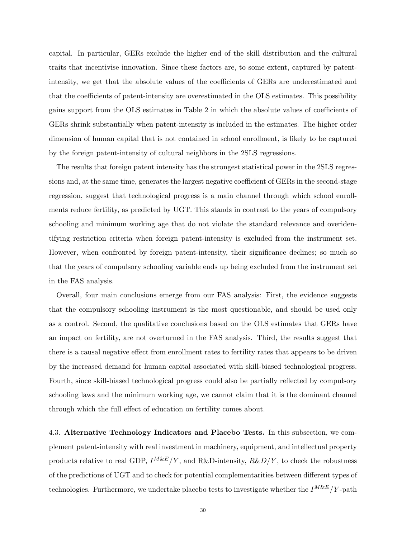capital. In particular, GERs exclude the higher end of the skill distribution and the cultural traits that incentivise innovation. Since these factors are, to some extent, captured by patentintensity, we get that the absolute values of the coefficients of GERs are underestimated and that the coefficients of patent-intensity are overestimated in the OLS estimates. This possibility gains support from the OLS estimates in Table 2 in which the absolute values of coefficients of GERs shrink substantially when patent-intensity is included in the estimates. The higher order dimension of human capital that is not contained in school enrollment, is likely to be captured by the foreign patent-intensity of cultural neighbors in the 2SLS regressions.

The results that foreign patent intensity has the strongest statistical power in the 2SLS regressions and, at the same time, generates the largest negative coefficient of GERs in the second-stage regression, suggest that technological progress is a main channel through which school enrollments reduce fertility, as predicted by UGT. This stands in contrast to the years of compulsory schooling and minimum working age that do not violate the standard relevance and overidentifying restriction criteria when foreign patent-intensity is excluded from the instrument set. However, when confronted by foreign patent-intensity, their significance declines; so much so that the years of compulsory schooling variable ends up being excluded from the instrument set in the FAS analysis.

Overall, four main conclusions emerge from our FAS analysis: First, the evidence suggests that the compulsory schooling instrument is the most questionable, and should be used only as a control. Second, the qualitative conclusions based on the OLS estimates that GERs have an impact on fertility, are not overturned in the FAS analysis. Third, the results suggest that there is a causal negative effect from enrollment rates to fertility rates that appears to be driven by the increased demand for human capital associated with skill-biased technological progress. Fourth, since skill-biased technological progress could also be partially reflected by compulsory schooling laws and the minimum working age, we cannot claim that it is the dominant channel through which the full effect of education on fertility comes about.

4.3. Alternative Technology Indicators and Placebo Tests. In this subsection, we complement patent-intensity with real investment in machinery, equipment, and intellectual property products relative to real GDP,  $I^{M\&E}/Y$ , and R&D-intensity,  $R\&D/Y$ , to check the robustness of the predictions of UGT and to check for potential complementarities between different types of technologies. Furthermore, we undertake placebo tests to investigate whether the  $I^{M\&E}/Y$ -path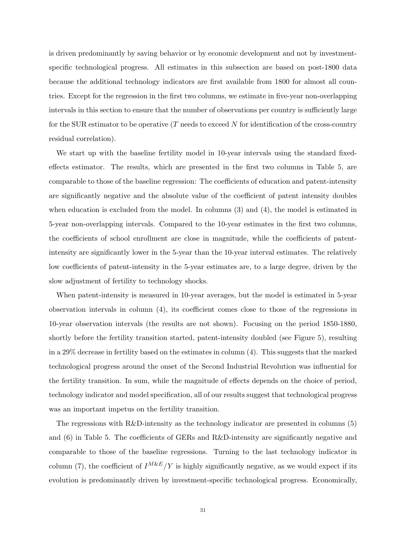is driven predominantly by saving behavior or by economic development and not by investmentspecific technological progress. All estimates in this subsection are based on post-1800 data because the additional technology indicators are first available from 1800 for almost all countries. Except for the regression in the first two columns, we estimate in five-year non-overlapping intervals in this section to ensure that the number of observations per country is sufficiently large for the SUR estimator to be operative  $(T \text{ needs to exceed } N \text{ for identification of the cross-country})$ residual correlation).

We start up with the baseline fertility model in 10-year intervals using the standard fixedeffects estimator. The results, which are presented in the first two columns in Table 5, are comparable to those of the baseline regression: The coefficients of education and patent-intensity are significantly negative and the absolute value of the coefficient of patent intensity doubles when education is excluded from the model. In columns (3) and (4), the model is estimated in 5-year non-overlapping intervals. Compared to the 10-year estimates in the first two columns, the coefficients of school enrollment are close in magnitude, while the coefficients of patentintensity are significantly lower in the 5-year than the 10-year interval estimates. The relatively low coefficients of patent-intensity in the 5-year estimates are, to a large degree, driven by the slow adjustment of fertility to technology shocks.

When patent-intensity is measured in 10-year averages, but the model is estimated in 5-year observation intervals in column (4), its coefficient comes close to those of the regressions in 10-year observation intervals (the results are not shown). Focusing on the period 1850-1880, shortly before the fertility transition started, patent-intensity doubled (see Figure 5), resulting in a 29% decrease in fertility based on the estimates in column (4). This suggests that the marked technological progress around the onset of the Second Industrial Revolution was influential for the fertility transition. In sum, while the magnitude of effects depends on the choice of period, technology indicator and model specification, all of our results suggest that technological progress was an important impetus on the fertility transition.

The regressions with R&D-intensity as the technology indicator are presented in columns (5) and (6) in Table 5. The coefficients of GERs and R&D-intensity are significantly negative and comparable to those of the baseline regressions. Turning to the last technology indicator in column (7), the coefficient of  $I^{M\&E}/Y$  is highly significantly negative, as we would expect if its evolution is predominantly driven by investment-specific technological progress. Economically,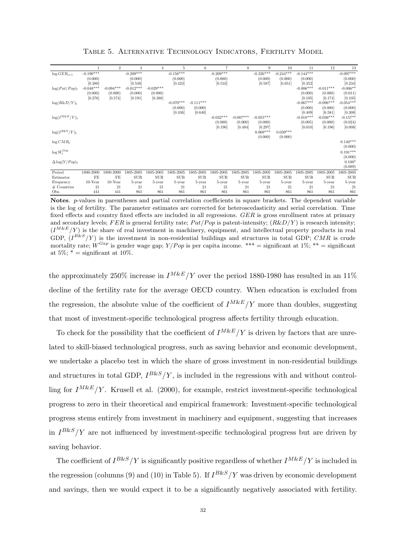|                        |             | $\overline{2}$ | 3           |             | 5                  | 6           |             | 8           | 9           | 10          | 11                 | 12                 | 13                    |
|------------------------|-------------|----------------|-------------|-------------|--------------------|-------------|-------------|-------------|-------------|-------------|--------------------|--------------------|-----------------------|
| $\log GER_{t+1}$       | $-0.190***$ |                | $-0.209***$ |             | $-0.158***$        |             | $-0.209***$ |             | $-0.226***$ | $-0.244***$ | $-0.144***$        |                    | $-0.097***$           |
|                        | (0.000)     |                | (0.000)     |             | (0.000)            |             | (0.000)     |             | (0.000)     | (0.000)     | (0.000)            |                    | (0.000)               |
|                        | [0.380]     |                | [0.538]     |             | [0.423]            |             | [0.533]     |             | [0.587]     | [0.651]     | [0.352]            |                    | [0.234]               |
| $log(Pat/Pop)_t$       | $-0.048***$ | $-0.094***$    | $-0.012***$ | $-0.029***$ |                    |             |             |             |             |             | $-0.006***$        | $-0.011***$        | $-0.006**$            |
|                        | (0.000)     | (0.000)        | (0.000)     | (0.000)     |                    |             |             |             |             |             | (0.000)            | (0.000)            | (0.011)               |
|                        | [0.276]     | [0.574]        | [0.191]     | [0.388]     |                    |             |             |             |             |             | [0.105]            | [0.174]            | [0.105]               |
| $\log(R\&D/Y)_t$       |             |                |             |             | $-0.070***$        | $-0.111***$ |             |             |             |             | $-0.067***$        | $-0.096***$        | $-0.054***$           |
|                        |             |                |             |             | (0.000)<br>[0.436] | (0.000)     |             |             |             |             | (0.000)<br>[0.409] | (0.000)<br>[0.581] | (0.000)               |
| $\log(I^{M\&E}/Y)_t$   |             |                |             |             |                    | [0.640]     | $-0.032***$ | $-0.087***$ | $-0.055***$ |             | $-0.018***$        | $-0.036***$        | [0.308]<br>$-0.157**$ |
|                        |             |                |             |             |                    |             | (0.000)     | (0.000)     | (0.000)     |             | (0.005)            | (0.000)            | (0.024)               |
|                        |             |                |             |             |                    |             | [0.190]     | [0.484]     | [0.297]     |             | [0.010]            | [0.196]            | [0.008]               |
| $\log(I^{B\&S}/Y)_t$   |             |                |             |             |                    |             |             |             | $0.069***$  | $0.039***$  |                    |                    |                       |
|                        |             |                |             |             |                    |             |             |             | (0.000)     | (0.000)     |                    |                    |                       |
| $\log CMR_t$           |             |                |             |             |                    |             |             |             |             |             |                    |                    | $0.140***$            |
|                        |             |                |             |             |                    |             |             |             |             |             |                    |                    | (0.000)               |
| $\log W^{Gap}_t$       |             |                |             |             |                    |             |             |             |             |             |                    |                    | $0.191***$            |
|                        |             |                |             |             |                    |             |             |             |             |             |                    |                    | (0.000)               |
| $\Delta \log(Y/Pop)_t$ |             |                |             |             |                    |             |             |             |             |             |                    |                    | $0.100*$              |
|                        |             |                |             |             |                    |             |             |             |             |             |                    |                    | (0.089)               |
| Period                 | 1800-2000   | 1800-2000      | 1805-2005   | 1805-2005   | 1805-2005          | 1805-2005   | 1805-2005   | 1805-2005   | 1805-2005   | 1805-2005   | 1805-2005          | 1805-2005          | 1805-2005             |
| Estimator              | FE          | FE             | <b>SUR</b>  | <b>SUR</b>  | <b>SUR</b>         | <b>SUR</b>  | <b>SUR</b>  | <b>SUR</b>  | <b>SUR</b>  | <b>SUR</b>  | <b>SUR</b>         | <b>SUR</b>         | <b>SUR</b>            |
| Frequency              | $10$ -Year  | $10$ -Year     | 5-year      | 5-year      | 5-year             | 5-year      | 5-year      | 5-year      | 5-year      | 5-year      | 5-year             | 5-year             | 5-year                |
| $#$ Countries          | 21          | 21             | 21          | 21          | 21                 | 21          | 21          | 21          | 21          | 21          | 21                 | 21                 | 21                    |
| Obs.                   | 441         | 441            | 861         | 861         | 861                | 861         | 861         | 861         | 861         | 861         | 861                | 861                | 861                   |

Table 5. Alternative Technology Indicators, Fertility Model

Notes. p-values in parentheses and partial correlation coefficients in square brackets. The dependent variable is the log of fertility. The parameter estimates are corrected for heteroscedasticity and serial correlation. Time fixed effects and country fixed effects are included in all regressions. GER is gross enrollment rates at primary and secondary levels; FER is general fertility rate; Pat/Pop is patent-intensity;  $(R&D/Y)$  is research intensity;  $(I^{M\&E}/Y)$  is the share of real investment in machinery, equipment, and intellectual property products in real GDP,  $(I^{B\&S}/Y)$  is the investment in non-residential buildings and structures in total GDP; CMR is crude mortality rate;  $W^{Gap}$  is gender wage gap;  $Y/Pop$  is per capita income. \*\*\* = significant at  $1\%$ ; \*\* = significant at  $5\%$ ;  $* =$  significant at  $10\%$ .

the approximately 250% increase in  $I^{M\&E}/Y$  over the period 1880-1980 has resulted in an 11% decline of the fertility rate for the average OECD country. When education is excluded from the regression, the absolute value of the coefficient of  $I^{M\&E}/Y$  more than doubles, suggesting that most of investment-specific technological progress affects fertility through education.

To check for the possibility that the coefficient of  $I^{M\&E}/Y$  is driven by factors that are unrelated to skill-biased technological progress, such as saving behavior and economic development, we undertake a placebo test in which the share of gross investment in non-residential buildings and structures in total GDP,  $I^{B\&S}/Y$ , is included in the regressions with and without controlling for  $I^{M\&E}/Y$ . Krusell et al. (2000), for example, restrict investment-specific technological progress to zero in their theoretical and empirical framework: Investment-specific technological progress stems entirely from investment in machinery and equipment, suggesting that increases in  $I^{B\&S}/Y$  are not influenced by investment-specific technological progress but are driven by saving behavior.

The coefficient of  $I^{B\&S}/Y$  is significantly positive regardless of whether  $I^{M\&E}/Y$  is included in the regression (columns (9) and (10) in Table 5). If  $I^{B\&S}/Y$  was driven by economic development and savings, then we would expect it to be a significantly negatively associated with fertility.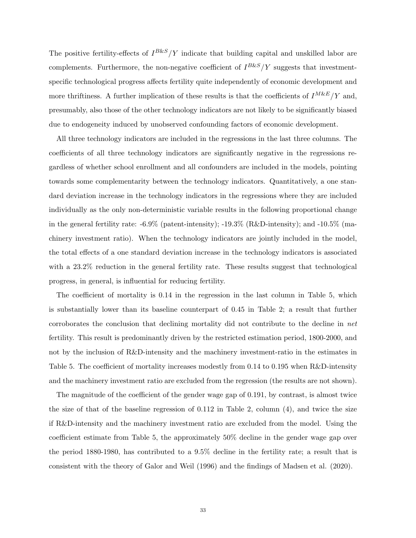The positive fertility-effects of  $I^{B\&S}/Y$  indicate that building capital and unskilled labor are complements. Furthermore, the non-negative coefficient of  $I^{B\&S}/Y$  suggests that investmentspecific technological progress affects fertility quite independently of economic development and more thriftiness. A further implication of these results is that the coefficients of  $I^{M\&E}/Y$  and, presumably, also those of the other technology indicators are not likely to be significantly biased due to endogeneity induced by unobserved confounding factors of economic development.

All three technology indicators are included in the regressions in the last three columns. The coefficients of all three technology indicators are significantly negative in the regressions regardless of whether school enrollment and all confounders are included in the models, pointing towards some complementarity between the technology indicators. Quantitatively, a one standard deviation increase in the technology indicators in the regressions where they are included individually as the only non-deterministic variable results in the following proportional change in the general fertility rate: -6.9% (patent-intensity); -19.3% (R&D-intensity); and -10.5% (machinery investment ratio). When the technology indicators are jointly included in the model, the total effects of a one standard deviation increase in the technology indicators is associated with a 23.2\% reduction in the general fertility rate. These results suggest that technological progress, in general, is influential for reducing fertility.

The coefficient of mortality is 0.14 in the regression in the last column in Table 5, which is substantially lower than its baseline counterpart of 0.45 in Table 2; a result that further corroborates the conclusion that declining mortality did not contribute to the decline in net fertility. This result is predominantly driven by the restricted estimation period, 1800-2000, and not by the inclusion of R&D-intensity and the machinery investment-ratio in the estimates in Table 5. The coefficient of mortality increases modestly from 0.14 to 0.195 when R&D-intensity and the machinery investment ratio are excluded from the regression (the results are not shown).

The magnitude of the coefficient of the gender wage gap of 0.191, by contrast, is almost twice the size of that of the baseline regression of  $0.112$  in Table 2, column  $(4)$ , and twice the size if R&D-intensity and the machinery investment ratio are excluded from the model. Using the coefficient estimate from Table 5, the approximately 50% decline in the gender wage gap over the period 1880-1980, has contributed to a 9.5% decline in the fertility rate; a result that is consistent with the theory of Galor and Weil (1996) and the findings of Madsen et al. (2020).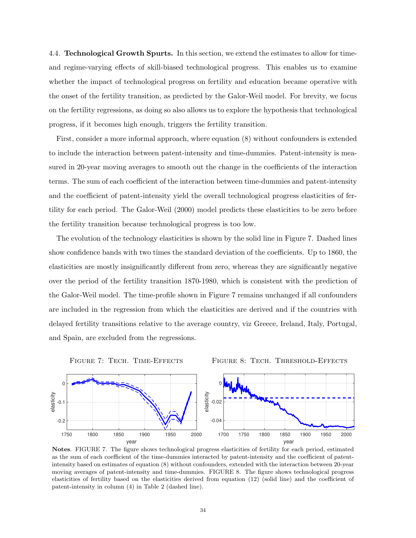4.4. Technological Growth Spurts. In this section, we extend the estimates to allow for timeand regime-varying effects of skill-biased technological progress. This enables us to examine whether the impact of technological progress on fertility and education became operative with the onset of the fertility transition, as predicted by the Galor-Weil model. For brevity, we focus on the fertility regressions, as doing so also allows us to explore the hypothesis that technological progress, if it becomes high enough, triggers the fertility transition.

First, consider a more informal approach, where equation (8) without confounders is extended to include the interaction between patent-intensity and time-dummies. Patent-intensity is measured in 20-year moving averages to smooth out the change in the coefficients of the interaction terms. The sum of each coefficient of the interaction between time-dummies and patent-intensity and the coefficient of patent-intensity yield the overall technological progress elasticities of fertility for each period. The Galor-Weil (2000) model predicts these elasticities to be zero before the fertility transition because technological progress is too low.

The evolution of the technology elasticities is shown by the solid line in Figure 7. Dashed lines show confidence bands with two times the standard deviation of the coefficients. Up to 1860, the elasticities are mostly insignificantly different from zero, whereas they are significantly negative over the period of the fertility transition 1870-1980, which is consistent with the prediction of the Galor-Weil model. The time-profile shown in Figure 7 remains unchanged if all confounders are included in the regression from which the elasticities are derived and if the countries with delayed fertility transitions relative to the average country, viz Greece, Ireland, Italy, Portugal, and Spain, are excluded from the regressions.



Notes. FIGURE 7. The figure shows technological progress elasticities of fertility for each period, estimated as the sum of each coefficient of the time-dummies interacted by patent-intensity and the coefficient of patentintensity based on estimates of equation (8) without confounders, extended with the interaction between 20-year moving averages of patent-intensity and time-dummies. FIGURE 8. The figure shows technological progress elasticities of fertility based on the elasticities derived from equation (12) (solid line) and the coefficient of patent-intensity in column (4) in Table 2 (dashed line).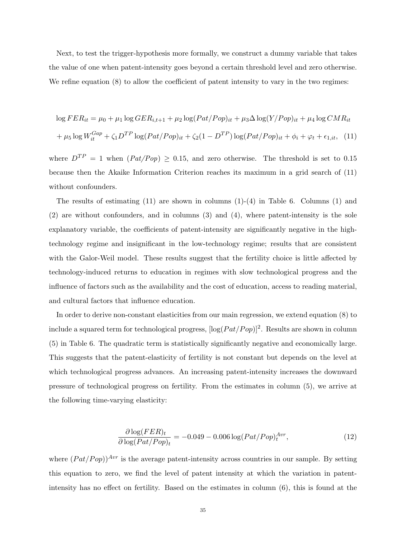Next, to test the trigger-hypothesis more formally, we construct a dummy variable that takes the value of one when patent-intensity goes beyond a certain threshold level and zero otherwise. We refine equation (8) to allow the coefficient of patent intensity to vary in the two regimes:

$$
\log FER_{it} = \mu_0 + \mu_1 \log GER_{i,t+1} + \mu_2 \log (Pat/Pop)_{it} + \mu_3 \Delta \log (Y/Pop)_{it} + \mu_4 \log CMR_{it}
$$

$$
+ \mu_5 \log W_{it}^{Gap} + \zeta_1 D^{TP} \log (Pat/Pop)_{it} + \zeta_2 (1 - D^{TP}) \log (Pat/Pop)_{it} + \phi_i + \varphi_t + \epsilon_{1,it}, \quad (11)
$$

where  $D^{TP} = 1$  when  $(Pat/Pop) \ge 0.15$ , and zero otherwise. The threshold is set to 0.15 because then the Akaike Information Criterion reaches its maximum in a grid search of (11) without confounders.

The results of estimating  $(11)$  are shown in columns  $(1)-(4)$  in Table 6. Columns  $(1)$  and (2) are without confounders, and in columns (3) and (4), where patent-intensity is the sole explanatory variable, the coefficients of patent-intensity are significantly negative in the hightechnology regime and insignificant in the low-technology regime; results that are consistent with the Galor-Weil model. These results suggest that the fertility choice is little affected by technology-induced returns to education in regimes with slow technological progress and the influence of factors such as the availability and the cost of education, access to reading material, and cultural factors that influence education.

In order to derive non-constant elasticities from our main regression, we extend equation (8) to include a squared term for technological progress,  $[\log (Pat/Pop)]^2$ . Results are shown in column (5) in Table 6. The quadratic term is statistically significantly negative and economically large. This suggests that the patent-elasticity of fertility is not constant but depends on the level at which technological progress advances. An increasing patent-intensity increases the downward pressure of technological progress on fertility. From the estimates in column (5), we arrive at the following time-varying elasticity:

$$
\frac{\partial \log (FER)_t}{\partial \log (Pat/Pop)_t} = -0.049 - 0.006 \log (Pat/Pop)_t^{Avr},\tag{12}
$$

where  $(Pat/Pop)$ <sup>Avr</sup> is the average patent-intensity across countries in our sample. By setting this equation to zero, we find the level of patent intensity at which the variation in patentintensity has no effect on fertility. Based on the estimates in column (6), this is found at the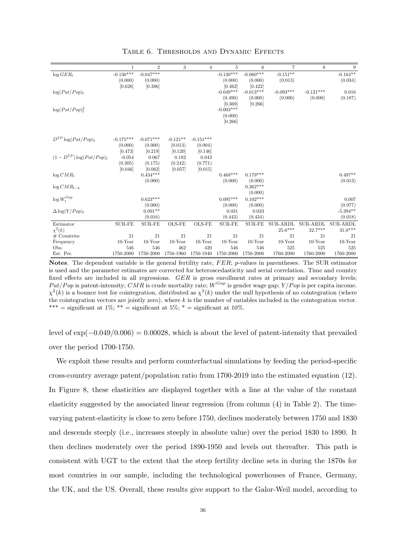|                             |             | $\overline{2}$      | 3          | 4           | 5           | 6           | 7               | 8           | 9               |
|-----------------------------|-------------|---------------------|------------|-------------|-------------|-------------|-----------------|-------------|-----------------|
| $\log GER_t$                | $-0.130***$ | $-0.047***$         |            |             | $-0.130***$ | $-0.060***$ | $-0.151**$      |             | $-0.164**$      |
|                             | (0.000)     | (0.000)             |            |             | (0.000)     | (0.000)     | (0.013)         |             | (0.034)         |
|                             | [0.626]     | [0.386]             |            |             | [0.462]     | [0.422]     |                 |             |                 |
| $log(Pat/Pop)_t$            |             |                     |            |             | $-0.049***$ | $-0.013***$ | $-0.093***$     | $-0.121***$ | 0.016           |
|                             |             |                     |            |             | (0.490)     | (0.000)     | (0.000)         | (0.000)     | (0.187)         |
|                             |             |                     |            |             | [0.369]     | [0.266]     |                 |             |                 |
| $\log(Pat/Pop)_t^2$         |             |                     |            |             | $-0.003***$ |             |                 |             |                 |
|                             |             |                     |            |             | (0.000)     |             |                 |             |                 |
|                             |             |                     |            |             | [0.266]     |             |                 |             |                 |
|                             |             |                     |            |             |             |             |                 |             |                 |
| $D^{TP} \log (Pat/Pop)_t$   | $-0.175***$ | $-0.071***$         | $-0.121**$ | $-0.151***$ |             |             |                 |             |                 |
|                             | (0.000)     | (0.000)             | (0.013)    | (0.004)     |             |             |                 |             |                 |
|                             | [0.473]     | [0.219]             | [0.120]    | [0.146]     |             |             |                 |             |                 |
| $(1-D^{TP})\log(Pat/Pop)_t$ | $-0.054$    | 0.067               | 0.182      | 0.043       |             |             |                 |             |                 |
|                             | (0.305)     | (0.175)             | (0.242)    | (0.771)     |             |             |                 |             |                 |
|                             | [0.046]     | [0.062]             | [0.057]    | [0.015]     |             |             |                 |             |                 |
| $\log CMR_t$                |             | $0.434***$          |            |             | $0.468***$  | $0.179***$  |                 |             | $0.497**$       |
|                             |             | (0.000)             |            |             | (0.000)     | (0.000)     |                 |             | (0.013)         |
| $\log CMR_{t-4}$            |             |                     |            |             |             | $0.362***$  |                 |             |                 |
|                             |             |                     |            |             |             | (0.000)     |                 |             |                 |
| $\log W^{Gap}_t$            |             | $0.623***$          |            |             | $0.095***$  | $0.102***$  |                 |             | 0.007           |
|                             |             | (0.000)             |            |             | (0.000)     | (0.000)     |                 |             | (0.977)         |
| $\Delta \log(Y/Pop)_t$      |             | $0.091**$           |            |             | 0.031       | 0.033       |                 |             | $-5.394**$      |
|                             |             | (0.016)             |            |             | (0.443)     | (0.434)     |                 |             | (0.018)         |
| Estimator                   | SUR-FE      | $\rm SUR\text{-}FE$ | OLS-FE     | OLS-FE      | SUR-FE      | SUR-FE      | <b>SUR-ARDL</b> | SUR-ARDL    | <b>SUR-ARDL</b> |
| $\chi^2(k)$                 |             |                     |            |             |             |             | $25.6***$       | $32.7***$   | $31.0^{***}\,$  |
| $#$ Countries               | 21          | 21                  | 21         | 21          | 21          | 21          | 21              | 21          | 21              |
| Frequency                   | $10$ -Year  | $10$ -Year          | $10$ -Year | $10$ -Year  | $10$ -Year  | $10$ -Year  | $10$ -Year      | $10$ -Year  | $10$ -Year      |
| Obs.                        | 546         | 546                 | 462        | 420         | 546         | 546         | 525             | 525         | 525             |
| Est. Per.                   | 1750-2000   | 1750-2000           | 1750-1960  | 1750-1940   | 1750-2000   | 1750-2000   | 1760-2000       | 1760-2000   | 1760-2000       |

Table 6. Thresholds and Dynamic Effects

level of  $\exp(-0.049/0.006) = 0.00028$ , which is about the level of patent-intensity that prevailed over the period 1700-1750.

We exploit these results and perform counterfactual simulations by feeding the period-specific cross-country average patent/population ratio from 1700-2019 into the estimated equation (12). In Figure 8, these elasticities are displayed together with a line at the value of the constant elasticity suggested by the associated linear regression (from column (4) in Table 2). The timevarying patent-elasticity is close to zero before 1750, declines moderately between 1750 and 1830 and descends steeply (i.e., increases steeply in absolute value) over the period 1830 to 1890. It then declines moderately over the period 1890-1950 and levels out thereafter. This path is consistent with UGT to the extent that the steep fertility decline sets in during the 1870s for most countries in our sample, including the technological powerhouses of France, Germany, the UK, and the US. Overall, these results give support to the Galor-Weil model, according to

Notes. The dependent variable is the general fertility rate, FER; p-values in parentheses. The SUR estimator is used and the parameter estimates are corrected for heteroscedasticity and serial correlation. Time and country fixed effects are included in all regressions. GER is gross enrollment rates at primary and secondary levels;  $Pat/Pop$  is patent-intensity;  $CMR$  is crude mortality rate;  $W^{Gap}$  is gender wage gap;  $Y/Pop$  is per capita income.  $\chi^2(k)$  is a bounce test for cointegration, distributed as  $\chi^2(k)$  under the null hypothesis of no cointegration (where the cointegration vectors are jointly zero), where  $k$  is the number of variables included in the cointegration vector. \*\*\* = significant at 1%; \*\* = significant at 5%; \* = significant at 10%.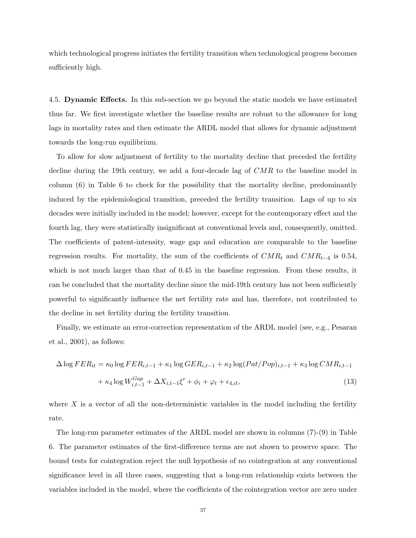which technological progress initiates the fertility transition when technological progress becomes sufficiently high.

4.5. Dynamic Effects. In this sub-section we go beyond the static models we have estimated thus far. We first investigate whether the baseline results are robust to the allowance for long lags in mortality rates and then estimate the ARDL model that allows for dynamic adjustment towards the long-run equilibrium.

To allow for slow adjustment of fertility to the mortality decline that preceded the fertility decline during the 19th century, we add a four-decade lag of CMR to the baseline model in column (6) in Table 6 to check for the possibility that the mortality decline, predominantly induced by the epidemiological transition, preceded the fertility transition. Lags of up to six decades were initially included in the model; however, except for the contemporary effect and the fourth lag, they were statistically insignificant at conventional levels and, consequently, omitted. The coefficients of patent-intensity, wage gap and education are comparable to the baseline regression results. For mortality, the sum of the coefficients of  $CMR_t$  and  $CMR_{t-4}$  is 0.54, which is not much larger than that of 0.45 in the baseline regression. From these results, it can be concluded that the mortality decline since the mid-19th century has not been sufficiently powerful to significantly influence the net fertility rate and has, therefore, not contributed to the decline in net fertility during the fertility transition.

Finally, we estimate an error-correction representation of the ARDL model (see, e.g., Pesaran et al., 2001), as follows:

$$
\Delta \log FER_{it} = \kappa_0 \log FER_{i,t-1} + \kappa_1 \log GER_{i,t-1} + \kappa_2 \log (Pat/Pop)_{i,t-1} + \kappa_3 \log CMR_{i,t-1} + \kappa_4 \log W_{i,t-1}^{Gap} + \Delta X_{i,t-1} \xi' + \phi_i + \varphi_t + \epsilon_{4,it},
$$
\n(13)

where  $X$  is a vector of all the non-deterministic variables in the model including the fertility rate.

The long-run parameter estimates of the ARDL model are shown in columns (7)-(9) in Table 6. The parameter estimates of the first-difference terms are not shown to preserve space. The bound tests for cointegration reject the null hypothesis of no cointegration at any conventional significance level in all three cases, suggesting that a long-run relationship exists between the variables included in the model, where the coefficients of the cointegration vector are zero under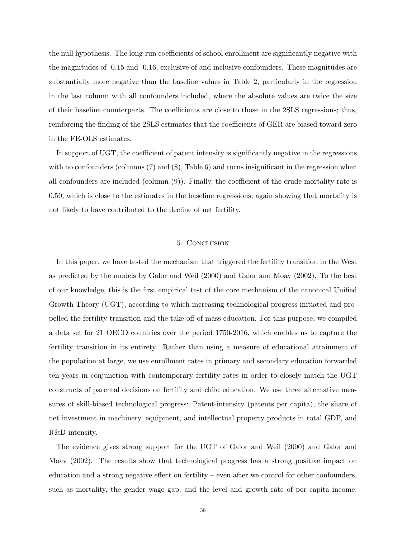the null hypothesis. The long-run coefficients of school enrollment are significantly negative with the magnitudes of -0.15 and -0.16, exclusive of and inclusive confounders. These magnitudes are substantially more negative than the baseline values in Table 2, particularly in the regression in the last column with all confounders included, where the absolute values are twice the size of their baseline counterparts. The coefficients are close to those in the 2SLS regressions; thus, reinforcing the finding of the 2SLS estimates that the coefficients of GER are biased toward zero in the FE-OLS estimates.

In support of UGT, the coefficient of patent intensity is significantly negative in the regressions with no confounders (columns (7) and (8), Table 6) and turns insignificant in the regression when all confounders are included (column (9)). Finally, the coefficient of the crude mortality rate is 0.50, which is close to the estimates in the baseline regressions; again showing that mortality is not likely to have contributed to the decline of net fertility.

## 5. Conclusion

In this paper, we have tested the mechanism that triggered the fertility transition in the West as predicted by the models by Galor and Weil (2000) and Galor and Moav (2002). To the best of our knowledge, this is the first empirical test of the core mechanism of the canonical Unified Growth Theory (UGT), according to which increasing technological progress initiated and propelled the fertility transition and the take-off of mass education. For this purpose, we compiled a data set for 21 OECD countries over the period 1750-2016, which enables us to capture the fertility transition in its entirety. Rather than using a measure of educational attainment of the population at large, we use enrollment rates in primary and secondary education forwarded ten years in conjunction with contemporary fertility rates in order to closely match the UGT constructs of parental decisions on fertility and child education. We use three alternative measures of skill-biased technological progress: Patent-intensity (patents per capita), the share of net investment in machinery, equipment, and intellectual property products in total GDP, and R&D intensity.

The evidence gives strong support for the UGT of Galor and Weil (2000) and Galor and Moav (2002). The results show that technological progress has a strong positive impact on education and a strong negative effect on fertility – even after we control for other confounders, such as mortality, the gender wage gap, and the level and growth rate of per capita income.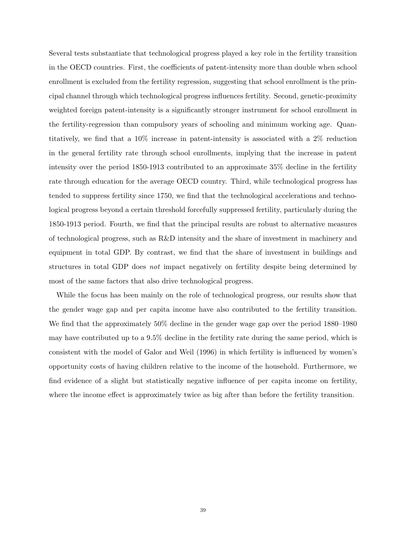Several tests substantiate that technological progress played a key role in the fertility transition in the OECD countries. First, the coefficients of patent-intensity more than double when school enrollment is excluded from the fertility regression, suggesting that school enrollment is the principal channel through which technological progress influences fertility. Second, genetic-proximity weighted foreign patent-intensity is a significantly stronger instrument for school enrollment in the fertility-regression than compulsory years of schooling and minimum working age. Quantitatively, we find that a 10% increase in patent-intensity is associated with a 2% reduction in the general fertility rate through school enrollments, implying that the increase in patent intensity over the period 1850-1913 contributed to an approximate 35% decline in the fertility rate through education for the average OECD country. Third, while technological progress has tended to suppress fertility since 1750, we find that the technological accelerations and technological progress beyond a certain threshold forcefully suppressed fertility, particularly during the 1850-1913 period. Fourth, we find that the principal results are robust to alternative measures of technological progress, such as R&D intensity and the share of investment in machinery and equipment in total GDP. By contrast, we find that the share of investment in buildings and structures in total GDP does not impact negatively on fertility despite being determined by most of the same factors that also drive technological progress.

While the focus has been mainly on the role of technological progress, our results show that the gender wage gap and per capita income have also contributed to the fertility transition. We find that the approximately 50% decline in the gender wage gap over the period 1880–1980 may have contributed up to a 9.5% decline in the fertility rate during the same period, which is consistent with the model of Galor and Weil (1996) in which fertility is influenced by women's opportunity costs of having children relative to the income of the household. Furthermore, we find evidence of a slight but statistically negative influence of per capita income on fertility, where the income effect is approximately twice as big after than before the fertility transition.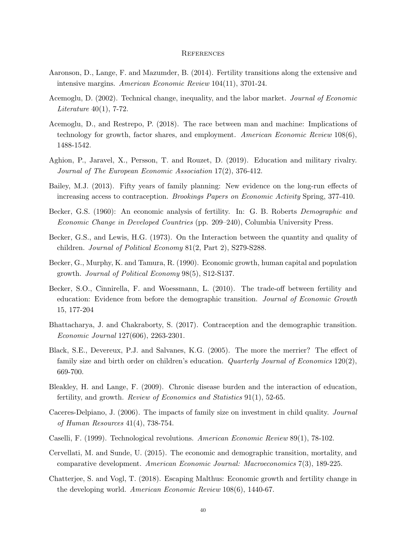#### **REFERENCES**

- Aaronson, D., Lange, F. and Mazumder, B. (2014). Fertility transitions along the extensive and intensive margins. American Economic Review 104(11), 3701-24.
- Acemoglu, D. (2002). Technical change, inequality, and the labor market. Journal of Economic Literature 40(1), 7-72.
- Acemoglu, D., and Restrepo, P. (2018). The race between man and machine: Implications of technology for growth, factor shares, and employment. American Economic Review 108(6), 1488-1542.
- Aghion, P., Jaravel, X., Persson, T. and Rouzet, D. (2019). Education and military rivalry. Journal of The European Economic Association 17(2), 376-412.
- Bailey, M.J. (2013). Fifty years of family planning: New evidence on the long-run effects of increasing access to contraception. Brookings Papers on Economic Activity Spring, 377-410.
- Becker, G.S. (1960): An economic analysis of fertility. In: G. B. Roberts *Demographic and* Economic Change in Developed Countries (pp. 209–240), Columbia University Press.
- Becker, G.S., and Lewis, H.G. (1973). On the Interaction between the quantity and quality of children. Journal of Political Economy 81(2, Part 2), S279-S288.
- Becker, G., Murphy, K. and Tamura, R. (1990). Economic growth, human capital and population growth. Journal of Political Economy 98(5), S12-S137.
- Becker, S.O., Cinnirella, F. and Woessmann, L. (2010). The trade-off between fertility and education: Evidence from before the demographic transition. Journal of Economic Growth 15, 177-204
- Bhattacharya, J. and Chakraborty, S. (2017). Contraception and the demographic transition. Economic Journal 127(606), 2263-2301.
- Black, S.E., Devereux, P.J. and Salvanes, K.G. (2005). The more the merrier? The effect of family size and birth order on children's education. Quarterly Journal of Economics 120(2), 669-700.
- Bleakley, H. and Lange, F. (2009). Chronic disease burden and the interaction of education, fertility, and growth. Review of Economics and Statistics 91(1), 52-65.
- Caceres-Delpiano, J. (2006). The impacts of family size on investment in child quality. Journal of Human Resources 41(4), 738-754.
- Caselli, F. (1999). Technological revolutions. American Economic Review 89(1), 78-102.
- Cervellati, M. and Sunde, U. (2015). The economic and demographic transition, mortality, and comparative development. American Economic Journal: Macroeconomics 7(3), 189-225.
- Chatterjee, S. and Vogl, T. (2018). Escaping Malthus: Economic growth and fertility change in the developing world. American Economic Review 108(6), 1440-67.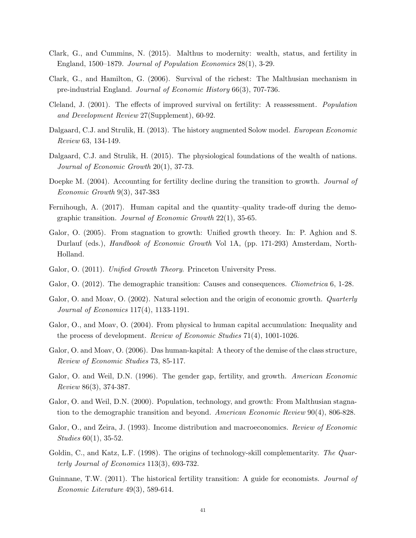- Clark, G., and Cummins, N. (2015). Malthus to modernity: wealth, status, and fertility in England, 1500–1879. Journal of Population Economics 28(1), 3-29.
- Clark, G., and Hamilton, G. (2006). Survival of the richest: The Malthusian mechanism in pre-industrial England. Journal of Economic History 66(3), 707-736.
- Cleland, J. (2001). The effects of improved survival on fertility: A reassessment. Population and Development Review 27(Supplement), 60-92.
- Dalgaard, C.J. and Strulik, H. (2013). The history augmented Solow model. European Economic Review 63, 134-149.
- Dalgaard, C.J. and Strulik, H. (2015). The physiological foundations of the wealth of nations. Journal of Economic Growth 20(1), 37-73.
- Doepke M. (2004). Accounting for fertility decline during the transition to growth. *Journal of* Economic Growth 9(3), 347-383
- Fernihough, A. (2017). Human capital and the quantity–quality trade-off during the demographic transition. Journal of Economic Growth 22(1), 35-65.
- Galor, O. (2005). From stagnation to growth: Unified growth theory. In: P. Aghion and S. Durlauf (eds.), *Handbook of Economic Growth* Vol 1A, (pp. 171-293) Amsterdam, North-Holland.
- Galor, O. (2011). Unified Growth Theory. Princeton University Press.
- Galor, O. (2012). The demographic transition: Causes and consequences. *Cliometrica* 6, 1-28.
- Galor, O. and Moav, O. (2002). Natural selection and the origin of economic growth. *Quarterly* Journal of Economics 117(4), 1133-1191.
- Galor, O., and Moav, O. (2004). From physical to human capital accumulation: Inequality and the process of development. Review of Economic Studies 71(4), 1001-1026.
- Galor, O. and Moav, O. (2006). Das human-kapital: A theory of the demise of the class structure, Review of Economic Studies 73, 85-117.
- Galor, O. and Weil, D.N. (1996). The gender gap, fertility, and growth. American Economic Review 86(3), 374-387.
- Galor, O. and Weil, D.N. (2000). Population, technology, and growth: From Malthusian stagnation to the demographic transition and beyond. American Economic Review 90(4), 806-828.
- Galor, O., and Zeira, J. (1993). Income distribution and macroeconomics. Review of Economic Studies 60(1), 35-52.
- Goldin, C., and Katz, L.F. (1998). The origins of technology-skill complementarity. The Quarterly Journal of Economics 113(3), 693-732.
- Guinnane, T.W. (2011). The historical fertility transition: A guide for economists. *Journal of* Economic Literature 49(3), 589-614.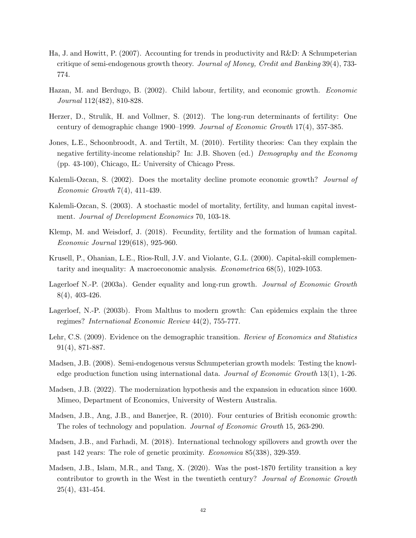- Ha, J. and Howitt, P. (2007). Accounting for trends in productivity and R&D: A Schumpeterian critique of semi-endogenous growth theory. Journal of Money, Credit and Banking 39(4), 733- 774.
- Hazan, M. and Berdugo, B. (2002). Child labour, fertility, and economic growth. Economic Journal 112(482), 810-828.
- Herzer, D., Strulik, H. and Vollmer, S. (2012). The long-run determinants of fertility: One century of demographic change 1900–1999. Journal of Economic Growth 17(4), 357-385.
- Jones, L.E., Schoonbroodt, A. and Tertilt, M. (2010). Fertility theories: Can they explain the negative fertility-income relationship? In: J.B. Shoven (ed.) Demography and the Economy (pp. 43-100), Chicago, IL: University of Chicago Press.
- Kalemli-Ozcan, S. (2002). Does the mortality decline promote economic growth? *Journal of* Economic Growth 7(4), 411-439.
- Kalemli-Ozcan, S. (2003). A stochastic model of mortality, fertility, and human capital investment. Journal of Development Economics 70, 103-18.
- Klemp, M. and Weisdorf, J. (2018). Fecundity, fertility and the formation of human capital. Economic Journal 129(618), 925-960.
- Krusell, P., Ohanian, L.E., Rios-Rull, J.V. and Violante, G.L. (2000). Capital-skill complementarity and inequality: A macroeconomic analysis. Econometrica 68(5), 1029-1053.
- Lagerloef N.-P. (2003a). Gender equality and long-run growth. *Journal of Economic Growth* 8(4), 403-426.
- Lagerloef, N.-P. (2003b). From Malthus to modern growth: Can epidemics explain the three regimes? International Economic Review 44(2), 755-777.
- Lehr, C.S. (2009). Evidence on the demographic transition. Review of Economics and Statistics 91(4), 871-887.
- Madsen, J.B. (2008). Semi-endogenous versus Schumpeterian growth models: Testing the knowledge production function using international data. Journal of Economic Growth 13(1), 1-26.
- Madsen, J.B. (2022). The modernization hypothesis and the expansion in education since 1600. Mimeo, Department of Economics, University of Western Australia.
- Madsen, J.B., Ang, J.B., and Banerjee, R. (2010). Four centuries of British economic growth: The roles of technology and population. Journal of Economic Growth 15, 263-290.
- Madsen, J.B., and Farhadi, M. (2018). International technology spillovers and growth over the past 142 years: The role of genetic proximity. Economica 85(338), 329-359.
- Madsen, J.B., Islam, M.R., and Tang, X. (2020). Was the post-1870 fertility transition a key contributor to growth in the West in the twentieth century? Journal of Economic Growth 25(4), 431-454.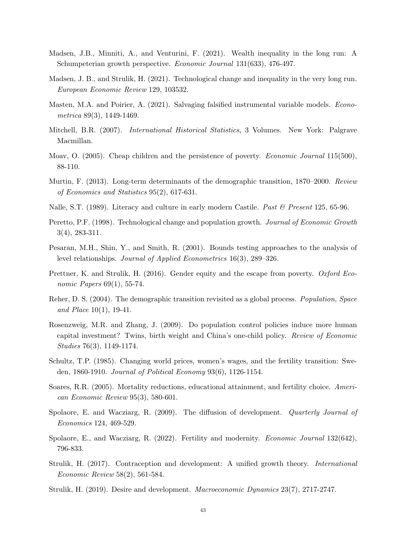- Madsen, J.B., Minniti, A., and Venturini, F. (2021). Wealth inequality in the long run: A Schumpeterian growth perspective. Economic Journal 131(633), 476-497.
- Madsen, J. B., and Strulik, H. (2021). Technological change and inequality in the very long run. European Economic Review 129, 103532.
- Masten, M.A. and Poirier, A. (2021). Salvaging falsified instrumental variable models. *Econo*metrica 89(3), 1449-1469.
- Mitchell, B.R. (2007). International Historical Statistics, 3 Volumes. New York: Palgrave Macmillan.
- Moav, O. (2005). Cheap children and the persistence of poverty. *Economic Journal* 115(500), 88-110.
- Murtin, F. (2013). Long-term determinants of the demographic transition, 1870–2000. Review of Economics and Statistics 95(2), 617-631.
- Nalle, S.T. (1989). Literacy and culture in early modern Castile. Past & Present 125, 65-96.
- Peretto, P.F. (1998). Technological change and population growth. *Journal of Economic Growth* 3(4), 283-311.
- Pesaran, M.H., Shin, Y., and Smith, R. (2001). Bounds testing approaches to the analysis of level relationships. Journal of Applied Econometrics 16(3), 289–326.
- Prettner, K. and Strulik, H. (2016). Gender equity and the escape from poverty. Oxford Economic Papers 69(1), 55-74.
- Reher, D. S. (2004). The demographic transition revisited as a global process. Population, Space and Place  $10(1)$ , 19-41.
- Rosenzweig, M.R. and Zhang, J. (2009). Do population control policies induce more human capital investment? Twins, birth weight and China's one-child policy. Review of Economic Studies 76(3), 1149-1174.
- Schultz, T.P. (1985). Changing world prices, women's wages, and the fertility transition: Sweden, 1860-1910. Journal of Political Economy 93(6), 1126-1154.
- Soares, R.R. (2005). Mortality reductions, educational attainment, and fertility choice. American Economic Review 95(3), 580-601.
- Spolaore, E. and Wacziarg, R. (2009). The diffusion of development. *Quarterly Journal of* Economics 124, 469-529.
- Spolaore, E., and Wacziarg, R. (2022). Fertility and modernity. *Economic Journal* 132(642), 796-833.
- Strulik, H. (2017). Contraception and development: A unified growth theory. International Economic Review 58(2), 561-584.
- Strulik, H. (2019). Desire and development. Macroeconomic Dynamics 23(7), 2717-2747.